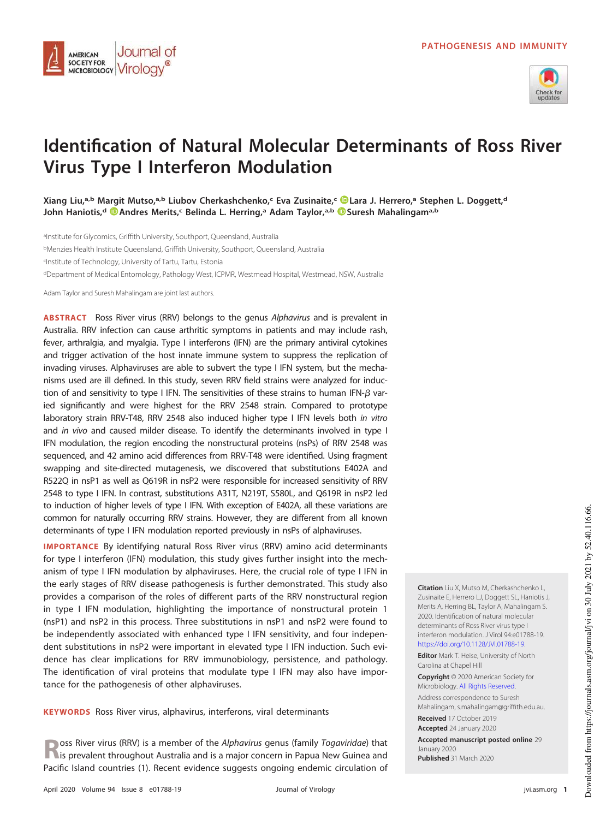

# **Identification of Natural Molecular Determinants of Ross River Virus Type I Interferon Modulation**

**Xiang Liu,a,b Margit Mutso,a,b Liubov Cherkashchenko,<sup>c</sup> Eva Zusinaite,<sup>c</sup> Lara J. Herrero,<sup>a</sup> Stephen L. Doggett,<sup>d</sup> John Haniotis,<sup>d</sup> Andres Merits,<sup>c</sup> Belinda L. Herring,<sup>a</sup> Adam Taylor,a,b Suresh Mahalingama,b**

alnstitute for Glycomics, Griffith University, Southport, Queensland, Australia <sup>b</sup>Menzies Health Institute Queensland, Griffith University, Southport, Queensland, Australia c Institute of Technology, University of Tartu, Tartu, Estonia <sup>d</sup>Department of Medical Entomology, Pathology West, ICPMR, Westmead Hospital, Westmead, NSW, Australia

Adam Taylor and Suresh Mahalingam are joint last authors.

Journal of

MICROBIOLOGY VITOLOGY

AMERICAN **SOCIETY FOR** 

**ABSTRACT** Ross River virus (RRV) belongs to the genus Alphavirus and is prevalent in Australia. RRV infection can cause arthritic symptoms in patients and may include rash, fever, arthralgia, and myalgia. Type I interferons (IFN) are the primary antiviral cytokines and trigger activation of the host innate immune system to suppress the replication of invading viruses. Alphaviruses are able to subvert the type I IFN system, but the mechanisms used are ill defined. In this study, seven RRV field strains were analyzed for induction of and sensitivity to type I IFN. The sensitivities of these strains to human IFN- $\beta$  varied significantly and were highest for the RRV 2548 strain. Compared to prototype laboratory strain RRV-T48, RRV 2548 also induced higher type I IFN levels both in vitro and in vivo and caused milder disease. To identify the determinants involved in type I IFN modulation, the region encoding the nonstructural proteins (nsPs) of RRV 2548 was sequenced, and 42 amino acid differences from RRV-T48 were identified. Using fragment swapping and site-directed mutagenesis, we discovered that substitutions E402A and R522Q in nsP1 as well as Q619R in nsP2 were responsible for increased sensitivity of RRV 2548 to type I IFN. In contrast, substitutions A31T, N219T, S580L, and Q619R in nsP2 led to induction of higher levels of type I IFN. With exception of E402A, all these variations are common for naturally occurring RRV strains. However, they are different from all known determinants of type I IFN modulation reported previously in nsPs of alphaviruses.

**IMPORTANCE** By identifying natural Ross River virus (RRV) amino acid determinants for type I interferon (IFN) modulation, this study gives further insight into the mechanism of type I IFN modulation by alphaviruses. Here, the crucial role of type I IFN in the early stages of RRV disease pathogenesis is further demonstrated. This study also provides a comparison of the roles of different parts of the RRV nonstructural region in type I IFN modulation, highlighting the importance of nonstructural protein 1 (nsP1) and nsP2 in this process. Three substitutions in nsP1 and nsP2 were found to be independently associated with enhanced type I IFN sensitivity, and four independent substitutions in nsP2 were important in elevated type I IFN induction. Such evidence has clear implications for RRV immunobiology, persistence, and pathology. The identification of viral proteins that modulate type I IFN may also have importance for the pathogenesis of other alphaviruses.

**KEYWORDS** Ross River virus, alphavirus, interferons, viral determinants

**R** is prevalent throughout Australia and is a major concern in Papua New Guinea and is a major concern in Papua New Guinea and oss River virus (RRV) is a member of the Alphavirus genus (family Togaviridae) that Pacific Island countries [\(1\)](#page-18-0). Recent evidence suggests ongoing endemic circulation of **Citation** Liu X, Mutso M, Cherkashchenko L, Zusinaite E, Herrero LJ, Doggett SL, Haniotis J, Merits A, Herring BL, Taylor A, Mahalingam S. 2020. Identification of natural molecular determinants of Ross River virus type I interferon modulation. J Virol 94:e01788-19. https://doi.org/10.1128/JVI.01788-19. **Editor** Mark T. Heise, University of North

Carolina at Chapel Hill

**Copyright** © 2020 American Society for Microbiology. All Rights Reserved.

Address correspondence to Suresh Mahalingam, s.mahalingam@griffith.edu.au. **Received** 17 October 2019 **Accepted** 24 January 2020

**Accepted manuscript posted online** 29 January 2020 **Published** 31 March 2020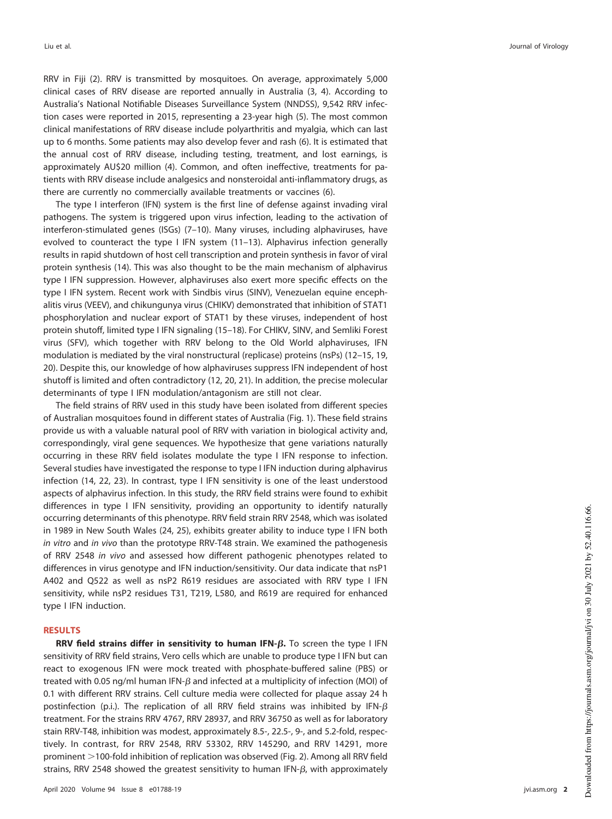RRV in Fiji [\(2\)](#page-18-1). RRV is transmitted by mosquitoes. On average, approximately 5,000 clinical cases of RRV disease are reported annually in Australia [\(3,](#page-18-2) [4\)](#page-18-3). According to Australia's National Notifiable Diseases Surveillance System (NNDSS), 9,542 RRV infection cases were reported in 2015, representing a 23-year high [\(5\)](#page-18-4). The most common clinical manifestations of RRV disease include polyarthritis and myalgia, which can last up to 6 months. Some patients may also develop fever and rash [\(6\)](#page-18-5). It is estimated that the annual cost of RRV disease, including testing, treatment, and lost earnings, is approximately AU\$20 million [\(4\)](#page-18-3). Common, and often ineffective, treatments for patients with RRV disease include analgesics and nonsteroidal anti-inflammatory drugs, as there are currently no commercially available treatments or vaccines [\(6\)](#page-18-5).

The type I interferon (IFN) system is the first line of defense against invading viral pathogens. The system is triggered upon virus infection, leading to the activation of interferon-stimulated genes (ISGs) [\(7](#page-18-6)[–](#page-18-7)[10\)](#page-18-8). Many viruses, including alphaviruses, have evolved to counteract the type I IFN system [\(11](#page-18-9)[–](#page-18-10)[13\)](#page-19-0). Alphavirus infection generally results in rapid shutdown of host cell transcription and protein synthesis in favor of viral protein synthesis [\(14\)](#page-19-1). This was also thought to be the main mechanism of alphavirus type I IFN suppression. However, alphaviruses also exert more specific effects on the type I IFN system. Recent work with Sindbis virus (SINV), Venezuelan equine encephalitis virus (VEEV), and chikungunya virus (CHIKV) demonstrated that inhibition of STAT1 phosphorylation and nuclear export of STAT1 by these viruses, independent of host protein shutoff, limited type I IFN signaling [\(15](#page-19-2)[–](#page-19-3)[18\)](#page-19-4). For CHIKV, SINV, and Semliki Forest virus (SFV), which together with RRV belong to the Old World alphaviruses, IFN modulation is mediated by the viral nonstructural (replicase) proteins (nsPs) [\(12](#page-18-10)[–](#page-19-1)[15,](#page-19-2) [19,](#page-19-5) [20\)](#page-19-6). Despite this, our knowledge of how alphaviruses suppress IFN independent of host shutoff is limited and often contradictory [\(12,](#page-18-10) [20,](#page-19-6) [21\)](#page-19-7). In addition, the precise molecular determinants of type I IFN modulation/antagonism are still not clear.

The field strains of RRV used in this study have been isolated from different species of Australian mosquitoes found in different states of Australia [\(Fig. 1\)](#page-2-0). These field strains provide us with a valuable natural pool of RRV with variation in biological activity and, correspondingly, viral gene sequences. We hypothesize that gene variations naturally occurring in these RRV field isolates modulate the type I IFN response to infection. Several studies have investigated the response to type I IFN induction during alphavirus infection [\(14,](#page-19-1) [22,](#page-19-8) [23\)](#page-19-9). In contrast, type I IFN sensitivity is one of the least understood aspects of alphavirus infection. In this study, the RRV field strains were found to exhibit differences in type I IFN sensitivity, providing an opportunity to identify naturally occurring determinants of this phenotype. RRV field strain RRV 2548, which was isolated in 1989 in New South Wales [\(24,](#page-19-10) [25\)](#page-19-11), exhibits greater ability to induce type I IFN both in vitro and in vivo than the prototype RRV-T48 strain. We examined the pathogenesis of RRV 2548 in vivo and assessed how different pathogenic phenotypes related to differences in virus genotype and IFN induction/sensitivity. Our data indicate that nsP1 A402 and Q522 as well as nsP2 R619 residues are associated with RRV type I IFN sensitivity, while nsP2 residues T31, T219, L580, and R619 are required for enhanced type I IFN induction.

## **RESULTS**

**RRV field strains differ in sensitivity to human IFN-β. To screen the type I IFN** sensitivity of RRV field strains, Vero cells which are unable to produce type I IFN but can react to exogenous IFN were mock treated with phosphate-buffered saline (PBS) or treated with 0.05 ng/ml human IFN- $\beta$  and infected at a multiplicity of infection (MOI) of 0.1 with different RRV strains. Cell culture media were collected for plaque assay 24 h postinfection (p.i.). The replication of all RRV field strains was inhibited by IFN- $\beta$ treatment. For the strains RRV 4767, RRV 28937, and RRV 36750 as well as for laboratory stain RRV-T48, inhibition was modest, approximately 8.5-, 22.5-, 9-, and 5.2-fold, respectively. In contrast, for RRV 2548, RRV 53302, RRV 145290, and RRV 14291, more prominent >100-fold inhibition of replication was observed [\(Fig. 2\)](#page-3-0). Among all RRV field strains, RRV 2548 showed the greatest sensitivity to human IFN- $\beta$ , with approximately

**2**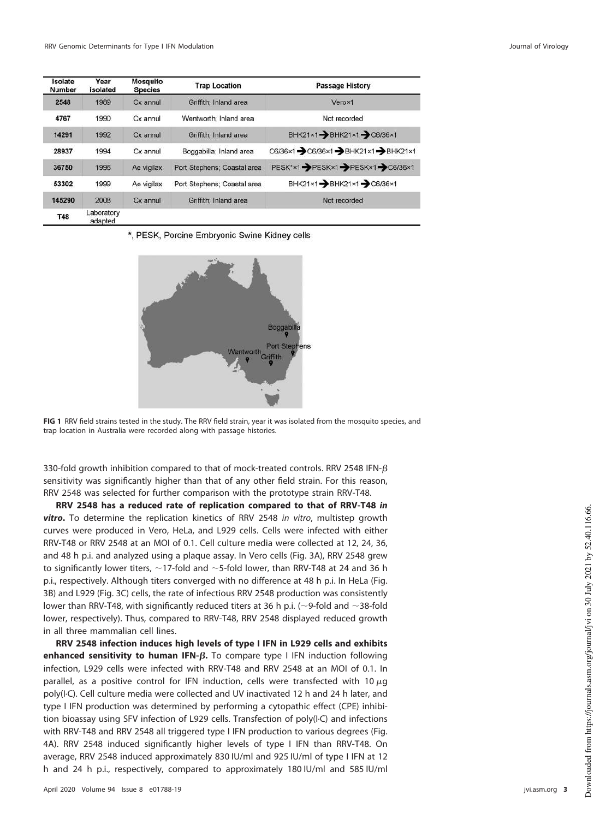| Isolate<br>Number | Year<br>isolated      | <b>Mosquito</b><br><b>Species</b> | <b>Trap Location</b>        | <b>Passage History</b>                |
|-------------------|-----------------------|-----------------------------------|-----------------------------|---------------------------------------|
| 2548              | 1989                  | Cx annul                          | Griffith: Inland area       | Verox1                                |
| 4767              | 1990                  | Cx annul                          | Wentworth: Inland area      | Not recorded                          |
| 14291             | 1992                  | Cx annul                          | Griffith: Inland area       | BHK21×1-BHK21×1-C6/36×1               |
| 28937             | 1994                  | Cx annul                          | Boggabilla: Inland area     | C6/36×1 - C6/36×1 - BHK21×1 - BHK21×1 |
| 36750             | 1996                  | Ae vigilax                        | Port Stephens; Coastal area | PESK*×1-PESK×1-PESK×1-C6/36×1         |
| 53302             | 1999                  | Ae vigilax                        | Port Stephens: Coastal area | BHK21×1-BHK21×1->C6/36×1              |
| 145290            | 2008                  | Cx annul                          | Griffith: Inland area       | Not recorded                          |
| <b>T48</b>        | Laboratory<br>ndnutnd |                                   |                             |                                       |

\*, PESK, Porcine Embryonic Swine Kidney cells



<span id="page-2-0"></span>**FIG 1** RRV field strains tested in the study. The RRV field strain, year it was isolated from the mosquito species, and trap location in Australia were recorded along with passage histories.

330-fold growth inhibition compared to that of mock-treated controls. RRV 2548 IFN- $\beta$ sensitivity was significantly higher than that of any other field strain. For this reason, RRV 2548 was selected for further comparison with the prototype strain RRV-T48.

**RRV 2548 has a reduced rate of replication compared to that of RRV-T48 in vitro.** To determine the replication kinetics of RRV 2548 in vitro, multistep growth curves were produced in Vero, HeLa, and L929 cells. Cells were infected with either RRV-T48 or RRV 2548 at an MOI of 0.1. Cell culture media were collected at 12, 24, 36, and 48 h p.i. and analyzed using a plaque assay. In Vero cells [\(Fig. 3A\)](#page-4-0), RRV 2548 grew to significantly lower titers,  $\sim$  17-fold and  $\sim$  5-fold lower, than RRV-T48 at 24 and 36 h p.i., respectively. Although titers converged with no difference at 48 h p.i. In HeLa [\(Fig.](#page-4-0) [3B\)](#page-4-0) and L929 [\(Fig. 3C\)](#page-4-0) cells, the rate of infectious RRV 2548 production was consistently lower than RRV-T48, with significantly reduced titers at 36 h p.i. ( $\sim$ 9-fold and  $\sim$ 38-fold lower, respectively). Thus, compared to RRV-T48, RRV 2548 displayed reduced growth in all three mammalian cell lines.

**RRV 2548 infection induces high levels of type I IFN in L929 cells and exhibits enhanced sensitivity to human IFN-β.** To compare type I IFN induction following infection, L929 cells were infected with RRV-T48 and RRV 2548 at an MOI of 0.1. In parallel, as a positive control for IFN induction, cells were transfected with 10  $\mu$ g poly(I·C). Cell culture media were collected and UV inactivated 12 h and 24 h later, and type I IFN production was determined by performing a cytopathic effect (CPE) inhibition bioassay using SFV infection of L929 cells. Transfection of poly(I·C) and infections with RRV-T48 and RRV 2548 all triggered type I IFN production to various degrees [\(Fig.](#page-5-0) [4A\)](#page-5-0). RRV 2548 induced significantly higher levels of type I IFN than RRV-T48. On average, RRV 2548 induced approximately 830 IU/ml and 925 IU/ml of type I IFN at 12 h and 24 h p.i., respectively, compared to approximately 180 IU/ml and 585 IU/ml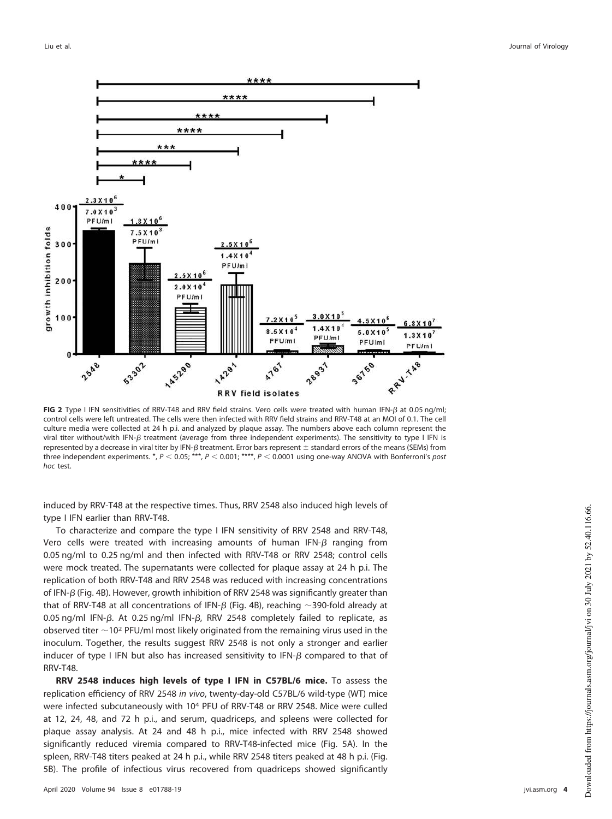

<span id="page-3-0"></span>FIG 2 Type I IFN sensitivities of RRV-T48 and RRV field strains. Vero cells were treated with human IFN- $\beta$  at 0.05 ng/ml; control cells were left untreated. The cells were then infected with RRV field strains and RRV-T48 at an MOI of 0.1. The cell culture media were collected at 24 h p.i. and analyzed by plaque assay. The numbers above each column represent the viral titer without/with IFN- $\beta$  treatment (average from three independent experiments). The sensitivity to type I IFN is represented by a decrease in viral titer by IFN- $\beta$  treatment. Error bars represent  $\pm$  standard errors of the means (SEMs) from three independent experiments. \*,  $P < 0.05$ ; \*\*\*,  $P < 0.001$ ; \*\*\*\*,  $P < 0.0001$  using one-way ANOVA with Bonferroni's post hoc test.

induced by RRV-T48 at the respective times. Thus, RRV 2548 also induced high levels of type I IFN earlier than RRV-T48.

To characterize and compare the type I IFN sensitivity of RRV 2548 and RRV-T48, Vero cells were treated with increasing amounts of human IFN- $\beta$  ranging from 0.05 ng/ml to 0.25 ng/ml and then infected with RRV-T48 or RRV 2548; control cells were mock treated. The supernatants were collected for plaque assay at 24 h p.i. The replication of both RRV-T48 and RRV 2548 was reduced with increasing concentrations of IFN- $\beta$  [\(Fig. 4B\)](#page-5-0). However, growth inhibition of RRV 2548 was significantly greater than that of RRV-T48 at all concentrations of IFN- $\beta$  [\(Fig. 4B\)](#page-5-0), reaching  $\sim$ 390-fold already at 0.05 ng/ml IFN- $\beta$ . At 0.25 ng/ml IFN- $\beta$ , RRV 2548 completely failed to replicate, as observed titer  $\sim$  10<sup>2</sup> PFU/ml most likely originated from the remaining virus used in the inoculum. Together, the results suggest RRV 2548 is not only a stronger and earlier inducer of type I IFN but also has increased sensitivity to IFN- $\beta$  compared to that of RRV-T48.

**RRV 2548 induces high levels of type I IFN in C57BL/6 mice.** To assess the replication efficiency of RRV 2548 in vivo, twenty-day-old C57BL/6 wild-type (WT) mice were infected subcutaneously with 10<sup>4</sup> PFU of RRV-T48 or RRV 2548. Mice were culled at 12, 24, 48, and 72 h p.i., and serum, quadriceps, and spleens were collected for plaque assay analysis. At 24 and 48 h p.i., mice infected with RRV 2548 showed significantly reduced viremia compared to RRV-T48-infected mice [\(Fig. 5A\)](#page-6-0). In the spleen, RRV-T48 titers peaked at 24 h p.i., while RRV 2548 titers peaked at 48 h p.i. [\(Fig.](#page-6-0) [5B\)](#page-6-0). The profile of infectious virus recovered from quadriceps showed significantly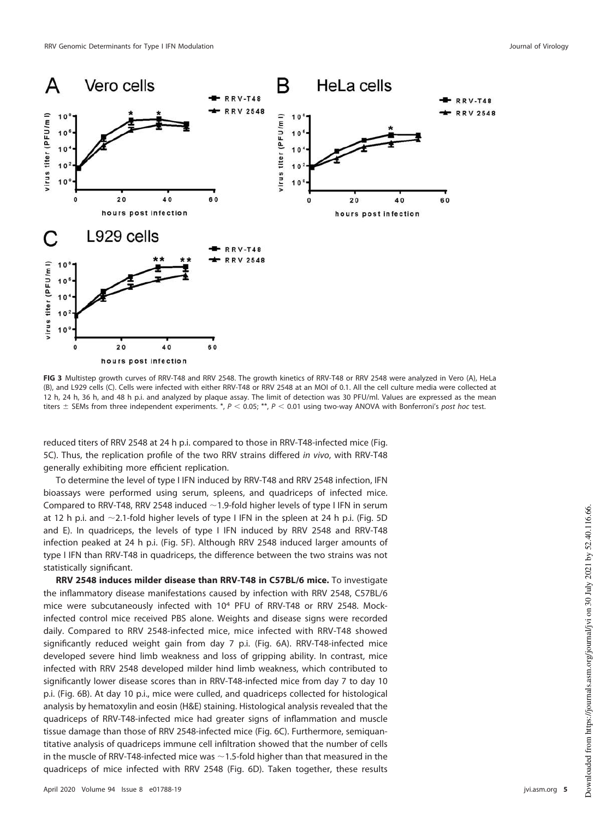

<span id="page-4-0"></span>**FIG 3** Multistep growth curves of RRV-T48 and RRV 2548. The growth kinetics of RRV-T48 or RRV 2548 were analyzed in Vero (A), HeLa (B), and L929 cells (C). Cells were infected with either RRV-T48 or RRV 2548 at an MOI of 0.1. All the cell culture media were collected at 12 h, 24 h, 36 h, and 48 h p.i. and analyzed by plaque assay. The limit of detection was 30 PFU/ml. Values are expressed as the mean titers  $\pm$  SEMs from three independent experiments. \*,  $P < 0.05$ ; \*\*,  $P < 0.01$  using two-way ANOVA with Bonferroni's post hoc test.

reduced titers of RRV 2548 at 24 h p.i. compared to those in RRV-T48-infected mice [\(Fig.](#page-6-0) [5C\)](#page-6-0). Thus, the replication profile of the two RRV strains differed in vivo, with RRV-T48 generally exhibiting more efficient replication.

To determine the level of type I IFN induced by RRV-T48 and RRV 2548 infection, IFN bioassays were performed using serum, spleens, and quadriceps of infected mice. Compared to RRV-T48, RRV 2548 induced  $\sim$  1.9-fold higher levels of type I IFN in serum at 12 h p.i. and  $\sim$ 2.1-fold higher levels of type I IFN in the spleen at 24 h p.i. [\(Fig. 5D](#page-6-0) and [E\)](#page-6-0). In quadriceps, the levels of type I IFN induced by RRV 2548 and RRV-T48 infection peaked at 24 h p.i. [\(Fig. 5F\)](#page-6-0). Although RRV 2548 induced larger amounts of type I IFN than RRV-T48 in quadriceps, the difference between the two strains was not statistically significant.

**RRV 2548 induces milder disease than RRV-T48 in C57BL/6 mice.** To investigate the inflammatory disease manifestations caused by infection with RRV 2548, C57BL/6 mice were subcutaneously infected with 10<sup>4</sup> PFU of RRV-T48 or RRV 2548. Mockinfected control mice received PBS alone. Weights and disease signs were recorded daily. Compared to RRV 2548-infected mice, mice infected with RRV-T48 showed significantly reduced weight gain from day 7 p.i. [\(Fig. 6A\)](#page-7-0). RRV-T48-infected mice developed severe hind limb weakness and loss of gripping ability. In contrast, mice infected with RRV 2548 developed milder hind limb weakness, which contributed to significantly lower disease scores than in RRV-T48-infected mice from day 7 to day 10 p.i. [\(Fig. 6B\)](#page-7-0). At day 10 p.i., mice were culled, and quadriceps collected for histological analysis by hematoxylin and eosin (H&E) staining. Histological analysis revealed that the quadriceps of RRV-T48-infected mice had greater signs of inflammation and muscle tissue damage than those of RRV 2548-infected mice [\(Fig. 6C\)](#page-7-0). Furthermore, semiquantitative analysis of quadriceps immune cell infiltration showed that the number of cells in the muscle of RRV-T48-infected mice was  $\sim$  1.5-fold higher than that measured in the quadriceps of mice infected with RRV 2548 [\(Fig. 6D\)](#page-7-0). Taken together, these results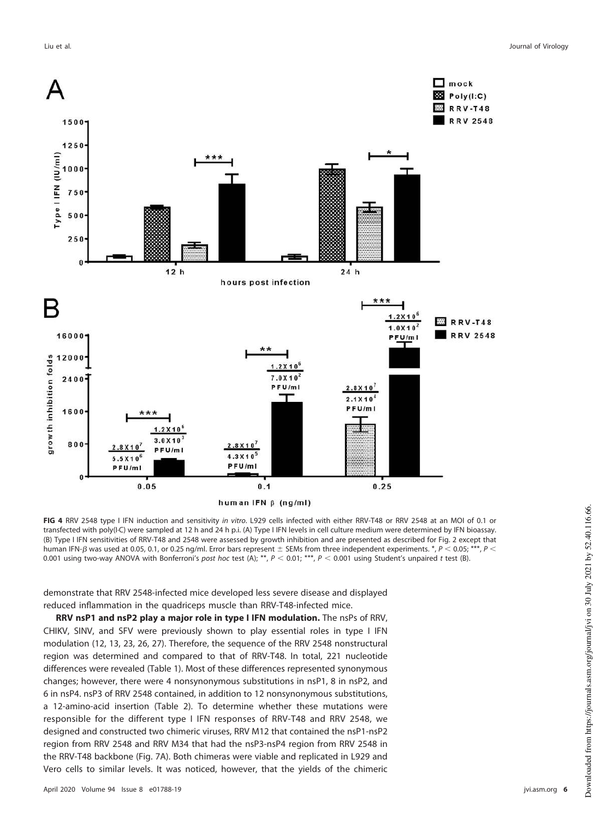

<span id="page-5-0"></span>**FIG 4** RRV 2548 type I IFN induction and sensitivity in vitro. L929 cells infected with either RRV-T48 or RRV 2548 at an MOI of 0.1 or transfected with poly(I·C) were sampled at 12 h and 24 h p.i. (A) Type I IFN levels in cell culture medium were determined by IFN bioassay. (B) Type I IFN sensitivities of RRV-T48 and 2548 were assessed by growth inhibition and are presented as described for [Fig. 2](#page-3-0) except that human IFN- $\beta$  was used at 0.05, 0.1, or 0.25 ng/ml. Error bars represent  $\pm$  SEMs from three independent experiments. \*,  $P$  < 0.05; \*\*\*,  $P$  < 0.001 using two-way ANOVA with Bonferroni's post hoc test (A); \*\*,  $P < 0.01$ ; \*\*,  $P < 0.001$  using Student's unpaired t test (B).

demonstrate that RRV 2548-infected mice developed less severe disease and displayed reduced inflammation in the quadriceps muscle than RRV-T48-infected mice.

**RRV nsP1 and nsP2 play a major role in type I IFN modulation.** The nsPs of RRV, CHIKV, SINV, and SFV were previously shown to play essential roles in type I IFN modulation [\(12,](#page-18-10) [13,](#page-19-0) [23,](#page-19-9) [26,](#page-19-12) [27\)](#page-19-13). Therefore, the sequence of the RRV 2548 nonstructural region was determined and compared to that of RRV-T48. In total, 221 nucleotide differences were revealed [\(Table 1\)](#page-7-1). Most of these differences represented synonymous changes; however, there were 4 nonsynonymous substitutions in nsP1, 8 in nsP2, and 6 in nsP4. nsP3 of RRV 2548 contained, in addition to 12 nonsynonymous substitutions, a 12-amino-acid insertion [\(Table 2\)](#page-8-0). To determine whether these mutations were responsible for the different type I IFN responses of RRV-T48 and RRV 2548, we designed and constructed two chimeric viruses, RRV M12 that contained the nsP1-nsP2 region from RRV 2548 and RRV M34 that had the nsP3-nsP4 region from RRV 2548 in the RRV-T48 backbone [\(Fig. 7A\)](#page-9-0). Both chimeras were viable and replicated in L929 and Vero cells to similar levels. It was noticed, however, that the yields of the chimeric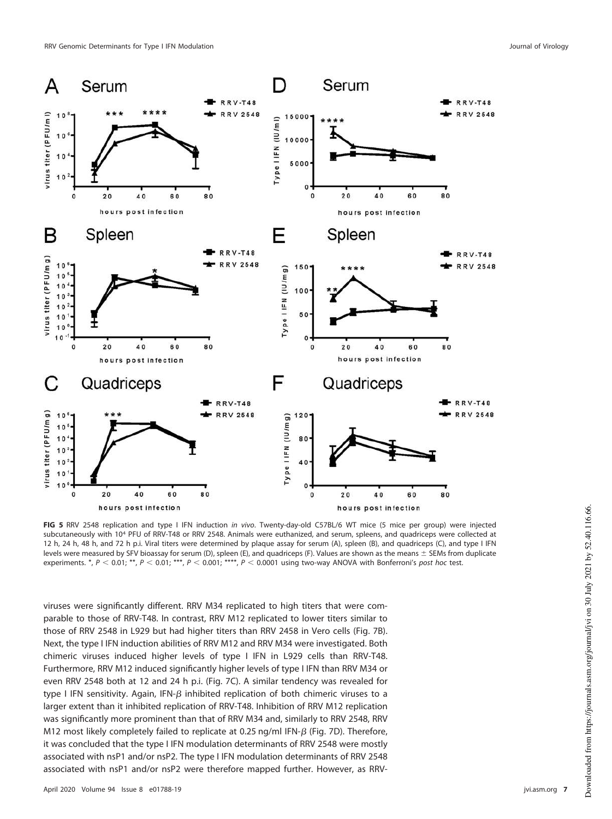

<span id="page-6-0"></span>**FIG 5** RRV 2548 replication and type I IFN induction in vivo. Twenty-day-old C57BL/6 WT mice (5 mice per group) were injected subcutaneously with 10<sup>4</sup> PFU of RRV-T48 or RRV 2548. Animals were euthanized, and serum, spleens, and quadriceps were collected at 12 h, 24 h, 48 h, and 72 h p.i. Viral titers were determined by plaque assay for serum (A), spleen (B), and quadriceps (C), and type I IFN levels were measured by SFV bioassay for serum (D), spleen (E), and quadriceps (F). Values are shown as the means  $\pm$  SEMs from duplicate experiments. \*,  $P < 0.01$ ; \*\*,  $P < 0.01$ ; \*\*\*,  $P < 0.001$ ; \*\*\*,  $P < 0.0001$  using two-way ANOVA with Bonferroni's post hoc test.

viruses were significantly different. RRV M34 replicated to high titers that were comparable to those of RRV-T48. In contrast, RRV M12 replicated to lower titers similar to those of RRV 2548 in L929 but had higher titers than RRV 2458 in Vero cells [\(Fig. 7B\)](#page-9-0). Next, the type I IFN induction abilities of RRV M12 and RRV M34 were investigated. Both chimeric viruses induced higher levels of type I IFN in L929 cells than RRV-T48. Furthermore, RRV M12 induced significantly higher levels of type I IFN than RRV M34 or even RRV 2548 both at 12 and 24 h p.i. [\(Fig. 7C\)](#page-9-0). A similar tendency was revealed for type I IFN sensitivity. Again, IFN- $\beta$  inhibited replication of both chimeric viruses to a larger extent than it inhibited replication of RRV-T48. Inhibition of RRV M12 replication was significantly more prominent than that of RRV M34 and, similarly to RRV 2548, RRV M12 most likely completely failed to replicate at 0.25 ng/ml IFN- $\beta$  [\(Fig. 7D\)](#page-9-0). Therefore, it was concluded that the type I IFN modulation determinants of RRV 2548 were mostly associated with nsP1 and/or nsP2. The type I IFN modulation determinants of RRV 2548 associated with nsP1 and/or nsP2 were therefore mapped further. However, as RRV-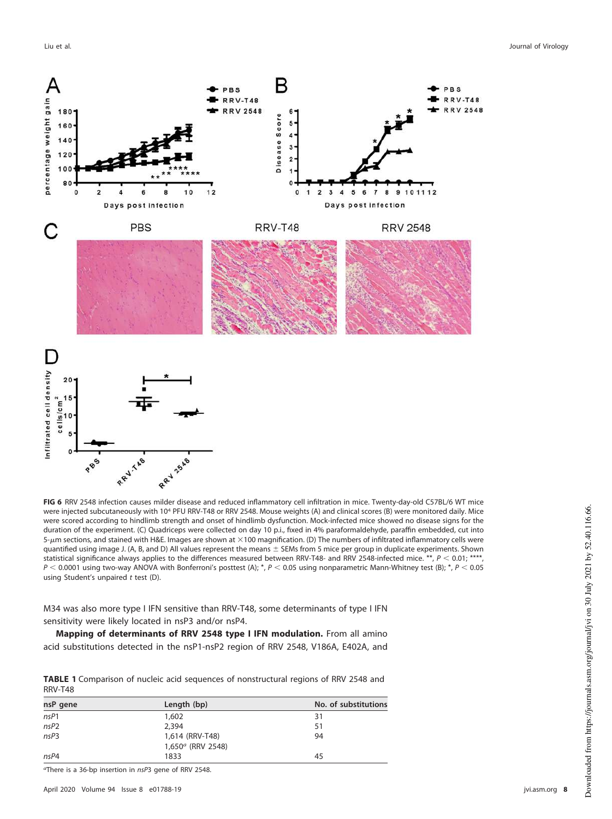

<span id="page-7-0"></span>**FIG 6** RRV 2548 infection causes milder disease and reduced inflammatory cell infiltration in mice. Twenty-day-old C57BL/6 WT mice were injected subcutaneously with 10<sup>4</sup> PFU RRV-T48 or RRV 2548. Mouse weights (A) and clinical scores (B) were monitored daily. Mice were scored according to hindlimb strength and onset of hindlimb dysfunction. Mock-infected mice showed no disease signs for the duration of the experiment. (C) Quadriceps were collected on day 10 p.i., fixed in 4% paraformaldehyde, paraffin embedded, cut into 5- $\mu$ m sections, and stained with H&E. Images are shown at  $\times$ 100 magnification. (D) The numbers of infiltrated inflammatory cells were quantified using image J. (A, B, and D) All values represent the means  $\pm$  SEMs from 5 mice per group in duplicate experiments. Shown statistical significance always applies to the differences measured between RRV-T48- and RRV 2548-infected mice. \*\*,  $P < 0.01$ , \*\*\*\*  $P < 0.0001$  using two-way ANOVA with Bonferroni's posttest (A); \*,  $P < 0.05$  using nonparametric Mann-Whitney test (B); \*,  $P < 0.05$ using Student's unpaired  $t$  test (D).

M34 was also more type I IFN sensitive than RRV-T48, some determinants of type I IFN sensitivity were likely located in nsP3 and/or nsP4.

**Mapping of determinants of RRV 2548 type I IFN modulation.** From all amino acid substitutions detected in the nsP1-nsP2 region of RRV 2548, V186A, E402A, and

<span id="page-7-1"></span>**TABLE 1** Comparison of nucleic acid sequences of nonstructural regions of RRV 2548 and RRV-T48

| nsP gene   | Length (bp)                             | No. of substitutions |
|------------|-----------------------------------------|----------------------|
| $n$ s $P1$ | 1,602                                   | 31                   |
| $n$ s $P2$ | 2,394                                   | 51                   |
| nsP3       | 1,614 (RRV-T48)<br>$1,650^a$ (RRV 2548) | 94                   |
| nsP4       | 1833                                    | 45                   |

aThere is a 36-bp insertion in nsP3 gene of RRV 2548.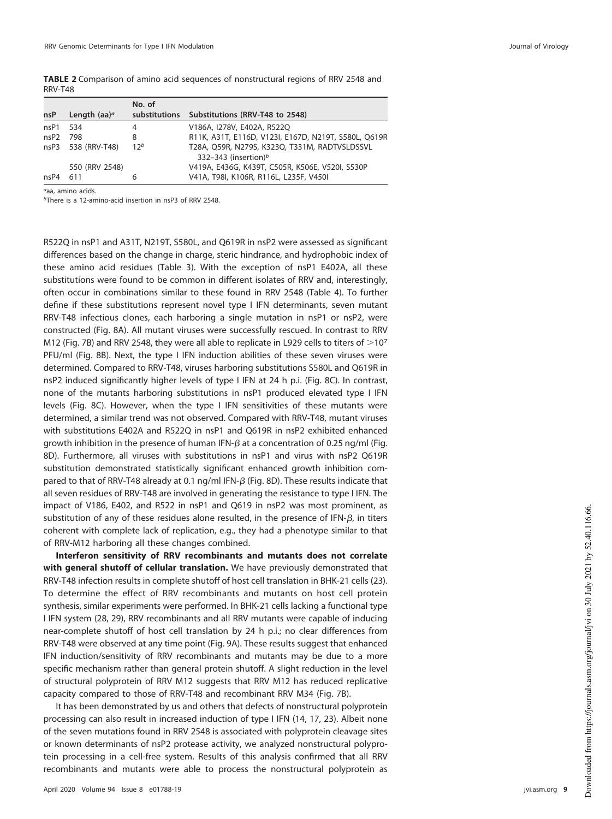<span id="page-8-0"></span>

| <b>TABLE 2</b> Comparison of amino acid sequences of nonstructural regions of RRV 2548 and |  |  |  |  |  |
|--------------------------------------------------------------------------------------------|--|--|--|--|--|
| RRV-T48                                                                                    |  |  |  |  |  |

|                  |                    | No. of          |                                                      |
|------------------|--------------------|-----------------|------------------------------------------------------|
| nsP              | Length $(aa)^a$    |                 | substitutions Substitutions (RRV-T48 to 2548)        |
| nsP1             | 534                | 4               | V186A, I278V, E402A, R522Q                           |
| nsP <sub>2</sub> | 798                | 8               | R11K, A31T, E116D, V123I, E167D, N219T, S580L, Q619R |
|                  | nsP3 538 (RRV-T48) | 12 <sup>b</sup> | T28A, Q59R, N279S, K323Q, T331M, RADTVSLDSSVL        |
|                  |                    |                 | 332-343 (insertion) <sup>b</sup>                     |
|                  | 550 (RRV 2548)     |                 | V419A, E436G, K439T, C505R, K506E, V520I, S530P      |
| nsP4             | 611                |                 | V41A, T98I, K106R, R116L, L235F, V450I               |

aaa, amino acids.

bThere is a 12-amino-acid insertion in nsP3 of RRV 2548.

R522Q in nsP1 and A31T, N219T, S580L, and Q619R in nsP2 were assessed as significant differences based on the change in charge, steric hindrance, and hydrophobic index of these amino acid residues [\(Table 3\)](#page-10-0). With the exception of nsP1 E402A, all these substitutions were found to be common in different isolates of RRV and, interestingly, often occur in combinations similar to these found in RRV 2548 [\(Table 4\)](#page-11-0). To further define if these substitutions represent novel type I IFN determinants, seven mutant RRV-T48 infectious clones, each harboring a single mutation in nsP1 or nsP2, were constructed [\(Fig. 8A\)](#page-12-0). All mutant viruses were successfully rescued. In contrast to RRV M12 [\(Fig. 7B\)](#page-9-0) and RRV 2548, they were all able to replicate in L929 cells to titers of  $>$ 10<sup>7</sup> PFU/ml [\(Fig. 8B\)](#page-12-0). Next, the type I IFN induction abilities of these seven viruses were determined. Compared to RRV-T48, viruses harboring substitutions S580L and Q619R in nsP2 induced significantly higher levels of type I IFN at 24 h p.i. [\(Fig. 8C\)](#page-12-0). In contrast, none of the mutants harboring substitutions in nsP1 produced elevated type I IFN levels [\(Fig. 8C\)](#page-12-0). However, when the type I IFN sensitivities of these mutants were determined, a similar trend was not observed. Compared with RRV-T48, mutant viruses with substitutions E402A and R522Q in nsP1 and Q619R in nsP2 exhibited enhanced growth inhibition in the presence of human IFN- $\beta$  at a concentration of 0.25 ng/ml [\(Fig.](#page-12-0) [8D\)](#page-12-0). Furthermore, all viruses with substitutions in nsP1 and virus with nsP2 Q619R substitution demonstrated statistically significant enhanced growth inhibition compared to that of RRV-T48 already at 0.1 ng/ml IFN- $\beta$  [\(Fig. 8D\)](#page-12-0). These results indicate that all seven residues of RRV-T48 are involved in generating the resistance to type I IFN. The impact of V186, E402, and R522 in nsP1 and Q619 in nsP2 was most prominent, as substitution of any of these residues alone resulted, in the presence of IFN- $\beta$ , in titers coherent with complete lack of replication, e.g., they had a phenotype similar to that of RRV-M12 harboring all these changes combined.

**Interferon sensitivity of RRV recombinants and mutants does not correlate with general shutoff of cellular translation.** We have previously demonstrated that RRV-T48 infection results in complete shutoff of host cell translation in BHK-21 cells [\(23\)](#page-19-9). To determine the effect of RRV recombinants and mutants on host cell protein synthesis, similar experiments were performed. In BHK-21 cells lacking a functional type I IFN system [\(28,](#page-19-14) [29\)](#page-19-15), RRV recombinants and all RRV mutants were capable of inducing near-complete shutoff of host cell translation by 24 h p.i.; no clear differences from RRV-T48 were observed at any time point [\(Fig. 9A\)](#page-13-0). These results suggest that enhanced IFN induction/sensitivity of RRV recombinants and mutants may be due to a more specific mechanism rather than general protein shutoff. A slight reduction in the level of structural polyprotein of RRV M12 suggests that RRV M12 has reduced replicative capacity compared to those of RRV-T48 and recombinant RRV M34 [\(Fig. 7B\)](#page-9-0).

It has been demonstrated by us and others that defects of nonstructural polyprotein processing can also result in increased induction of type I IFN [\(14,](#page-19-1) [17,](#page-19-3) [23\)](#page-19-9). Albeit none of the seven mutations found in RRV 2548 is associated with polyprotein cleavage sites or known determinants of nsP2 protease activity, we analyzed nonstructural polyprotein processing in a cell-free system. Results of this analysis confirmed that all RRV recombinants and mutants were able to process the nonstructural polyprotein as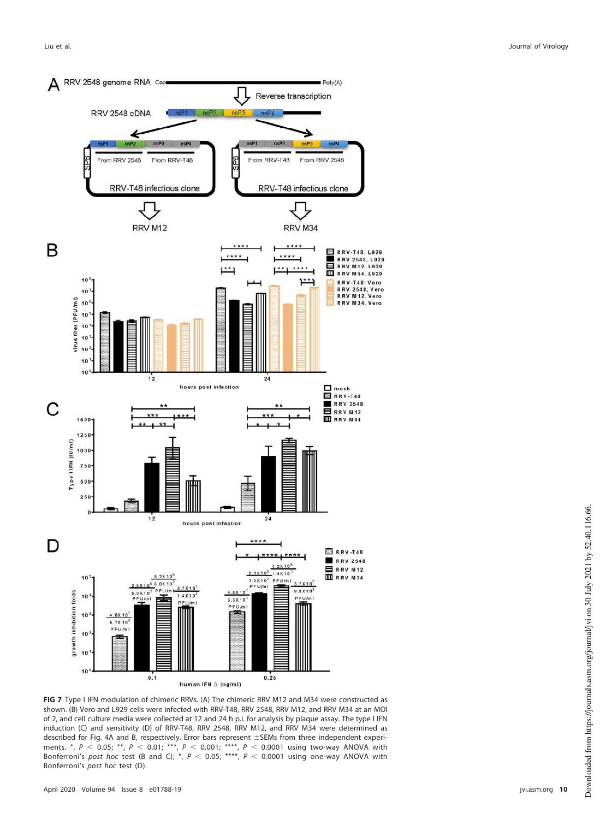

<span id="page-9-0"></span>**FIG 7** Type I IFN modulation of chimeric RRVs. (A) The chimeric RRV M12 and M34 were constructed as shown. (B) Vero and L929 cells were infected with RRV-T48, RRV 2548, RRV M12, and RRV M34 at an MOI of 2, and cell culture media were collected at 12 and 24 h p.i. for analysis by plaque assay. The type I IFN induction (C) and sensitivity (D) of RRV-T48, RRV 2548, RRV M12, and RRV M34 were determined as described for [Fig. 4A](#page-5-0) and [B,](#page-5-0) respectively. Error bars represent ±SEMs from three independent experiments.  $^*, P < 0.05;$  \*\*,  $P < 0.01;$  \*\*\*,  $P < 0.001;$  \*\*\*\*,  $P < 0.0001$  using two-way ANOVA with Bonferroni's post hoc test (B and C); \*,  $P < 0.05$ ; \*\*\*\*,  $P < 0.0001$  using one-way ANOVA with Bonferroni's post hoc test (D).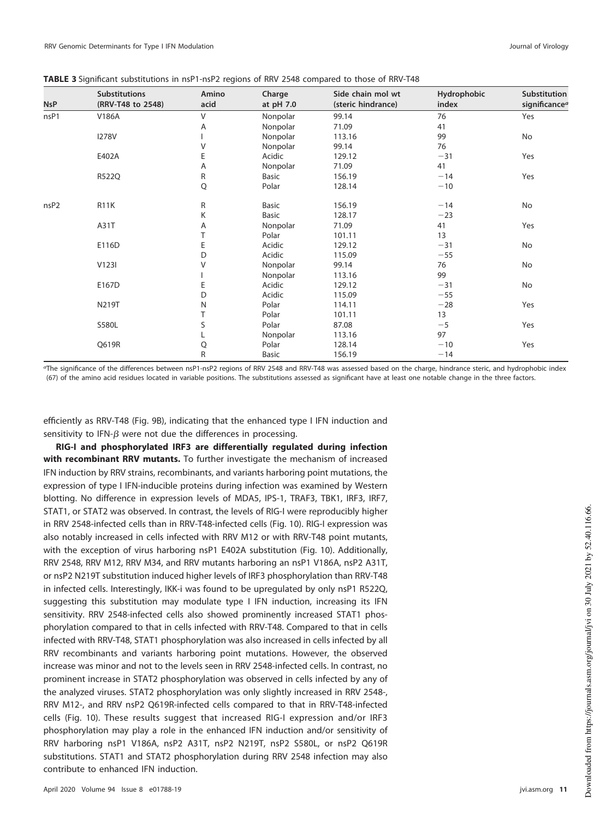<span id="page-10-0"></span>

| TABLE 3 Significant substitutions in nsP1-nsP2 regions of RRV 2548 compared to those of RRV-T48 |  |  |  |
|-------------------------------------------------------------------------------------------------|--|--|--|
|                                                                                                 |  |  |  |

| <b>NsP</b>       | <b>Substitutions</b><br>(RRV-T48 to 2548) | Amino<br>acid | Charge<br>at pH 7.0 | Side chain mol wt<br>(steric hindrance) | Hydrophobic<br>index | Substitution<br>significance <sup>a</sup> |
|------------------|-------------------------------------------|---------------|---------------------|-----------------------------------------|----------------------|-------------------------------------------|
| nsP1             | V186A                                     | V             | Nonpolar            | 99.14                                   | 76                   | Yes                                       |
|                  |                                           | Α             | Nonpolar            | 71.09                                   | 41                   |                                           |
|                  | <b>I278V</b>                              |               | Nonpolar            | 113.16                                  | 99                   | No                                        |
|                  |                                           | $\vee$        | Nonpolar            | 99.14                                   | 76                   |                                           |
|                  | E402A                                     | E             | Acidic              | 129.12                                  | $-31$                | Yes                                       |
|                  |                                           | Α             | Nonpolar            | 71.09                                   | 41                   |                                           |
|                  | R522Q                                     | R             | <b>Basic</b>        | 156.19                                  | $-14$                | Yes                                       |
|                  |                                           | Q             | Polar               | 128.14                                  | $-10$                |                                           |
| nsP <sub>2</sub> | <b>R11K</b>                               | R             | <b>Basic</b>        | 156.19                                  | $-14$                | No                                        |
|                  |                                           | K             | <b>Basic</b>        | 128.17                                  | $-23$                |                                           |
|                  | A31T                                      | Α             | Nonpolar            | 71.09                                   | 41                   | Yes                                       |
|                  |                                           |               | Polar               | 101.11                                  | 13                   |                                           |
|                  | E116D                                     | E             | Acidic              | 129.12                                  | $-31$                | No                                        |
|                  |                                           | D             | Acidic              | 115.09                                  | $-55$                |                                           |
|                  | V123I                                     | V             | Nonpolar            | 99.14                                   | 76                   | No                                        |
|                  |                                           |               | Nonpolar            | 113.16                                  | 99                   |                                           |
|                  | E167D                                     | E             | Acidic              | 129.12                                  | $-31$                | No                                        |
|                  |                                           | D             | Acidic              | 115.09                                  | $-55$                |                                           |
|                  | N219T                                     | N             | Polar               | 114.11                                  | $-28$                | Yes                                       |
|                  |                                           |               | Polar               | 101.11                                  | 13                   |                                           |
|                  | S580L                                     | S             | Polar               | 87.08                                   | $-5$                 | Yes                                       |
|                  |                                           | L             | Nonpolar            | 113.16                                  | 97                   |                                           |
|                  | Q619R                                     | Q             | Polar               | 128.14                                  | $-10$                | Yes                                       |
|                  |                                           | R             | Basic               | 156.19                                  | $-14$                |                                           |

aThe significance of the differences between nsP1-nsP2 regions of RRV 2548 and RRV-T48 was assessed based on the charge, hindrance steric, and hydrophobic index [\(67\)](#page-20-0) of the amino acid residues located in variable positions. The substitutions assessed as significant have at least one notable change in the three factors.

efficiently as RRV-T48 [\(Fig. 9B\)](#page-13-0), indicating that the enhanced type I IFN induction and sensitivity to IFN- $\beta$  were not due the differences in processing.

**RIG-I and phosphorylated IRF3 are differentially regulated during infection with recombinant RRV mutants.** To further investigate the mechanism of increased IFN induction by RRV strains, recombinants, and variants harboring point mutations, the expression of type I IFN-inducible proteins during infection was examined by Western blotting. No difference in expression levels of MDA5, IPS-1, TRAF3, TBK1, IRF3, IRF7, STAT1, or STAT2 was observed. In contrast, the levels of RIG-I were reproducibly higher in RRV 2548-infected cells than in RRV-T48-infected cells [\(Fig. 10\)](#page-14-0). RIG-I expression was also notably increased in cells infected with RRV M12 or with RRV-T48 point mutants, with the exception of virus harboring nsP1 E402A substitution [\(Fig. 10\)](#page-14-0). Additionally, RRV 2548, RRV M12, RRV M34, and RRV mutants harboring an nsP1 V186A, nsP2 A31T, or nsP2 N219T substitution induced higher levels of IRF3 phosphorylation than RRV-T48 in infected cells. Interestingly, IKK-i was found to be upregulated by only nsP1 R522Q, suggesting this substitution may modulate type I IFN induction, increasing its IFN sensitivity. RRV 2548-infected cells also showed prominently increased STAT1 phosphorylation compared to that in cells infected with RRV-T48. Compared to that in cells infected with RRV-T48, STAT1 phosphorylation was also increased in cells infected by all RRV recombinants and variants harboring point mutations. However, the observed increase was minor and not to the levels seen in RRV 2548-infected cells. In contrast, no prominent increase in STAT2 phosphorylation was observed in cells infected by any of the analyzed viruses. STAT2 phosphorylation was only slightly increased in RRV 2548-, RRV M12-, and RRV nsP2 Q619R-infected cells compared to that in RRV-T48-infected cells [\(Fig. 10\)](#page-14-0). These results suggest that increased RIG-I expression and/or IRF3 phosphorylation may play a role in the enhanced IFN induction and/or sensitivity of RRV harboring nsP1 V186A, nsP2 A31T, nsP2 N219T, nsP2 S580L, or nsP2 Q619R substitutions. STAT1 and STAT2 phosphorylation during RRV 2548 infection may also contribute to enhanced IFN induction.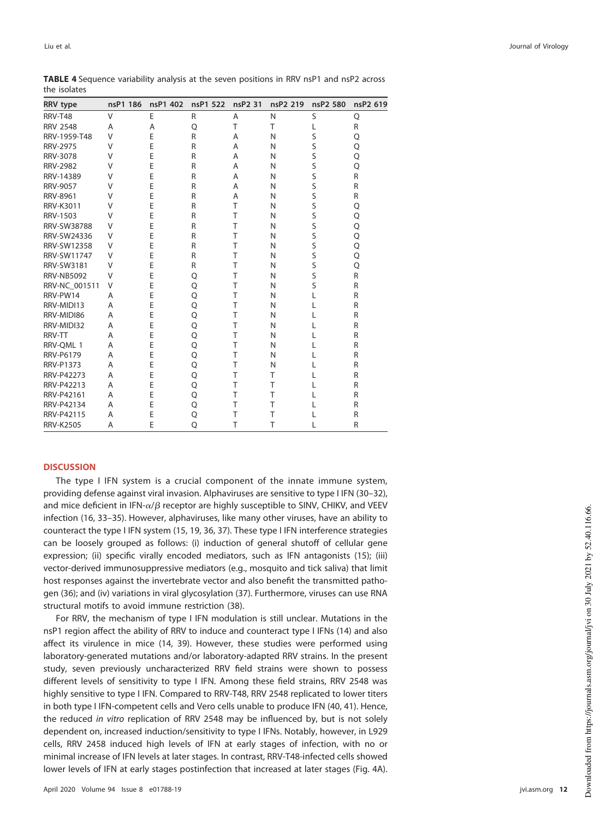| <b>RRV</b> type   | nsP1 186 | nsP1 402 | nsP1 522 | nsP2 31 | nsP2 219 | nsP2 580 | nsP2 619 |
|-------------------|----------|----------|----------|---------|----------|----------|----------|
| <b>RRV-T48</b>    | V        | E        | R        | A       | N        | S        | Q        |
| <b>RRV 2548</b>   | A        | A        | Q        | T       | T        | L        | R        |
| RRV-1959-T48      | V        | E        | R        | A       | N        | S        | Q        |
| <b>RRV-2975</b>   | V        | E        | R        | A       | N        | S        | Q        |
| <b>RRV-3078</b>   | V        | E        | R        | A       | N        | S        | Q        |
| <b>RRV-2982</b>   | V        | Ë        | R        | A       | N        | S        | Q        |
| RRV-14389         | V        | E        | R        | A       | N        | S        | R        |
| <b>RRV-9057</b>   | V        | E        | R        | A       | N        | S        | R        |
| RRV-8961          | V        | E        | R        | A       | N        | S        | R        |
| RRV-K3011         | V        | E        | R        | T       | N        | S        | Q        |
| RRV-1503          | V        | E        | R        | T       | N        | S        | Q        |
| RRV-SW38788       | V        | E        | R        | T       | N        | S        | Q        |
| RRV-SW24336       | V        | E        | R        | T       | N        | S        | Q        |
| RRV-SW12358       | V        | Ė        | R        | T       | N        | S        | Q        |
| RRV-SW11747       | V        | E        | R        | T       | N        | S        | Q        |
| RRV-SW3181        | V        | E        | R        | T       | N        | S        | Q        |
| <b>RRV-NB5092</b> | V        | Ė        | Q        | T       | N        | S        | R        |
| RRV-NC_001511     | V        | Ė        | Q        | T       | N        | S        | R        |
| RRV-PW14          | A        | E        | Q        | T       | N        | L        | R        |
| RRV-MIDI13        | Α        | Ė        | Q        | T       | N        | L        | R        |
| RRV-MIDI86        | A        | Ė        | Q        | T       | N        | L        | R        |
| RRV-MIDI32        | A        | Ė        | Q        | T       | N        | L        | R        |
| RRV-TT            | A        | E        | Q        | T       | N        |          | R        |
| RRV-QML 1         | A        | E        | Q        | T       | N        | L        | R        |
| <b>RRV-P6179</b>  | A        | E        | Q        | T       | N        | L        | R        |
| <b>RRV-P1373</b>  | A        | Ė        | Q        | T       | N        |          | R        |
| <b>RRV-P42273</b> | A        | Ė        | Q        | T       | T        |          | R        |
| RRV-P42213        | A        | E        | Q        | T       | T        |          | R        |
| RRV-P42161        | A        | E        | Q        | T       | T        |          | R        |
| RRV-P42134        | A        | Ė        | Q        | T       | T        |          | R        |
| RRV-P42115        | A        | E        | Q        | T       | T        |          | R        |
| <b>RRV-K2505</b>  | A        | E        | Q        | T       | T        |          | R        |

<span id="page-11-0"></span>**TABLE 4** Sequence variability analysis at the seven positions in RRV nsP1 and nsP2 across the isolates

# **DISCUSSION**

The type I IFN system is a crucial component of the innate immune system, providing defense against viral invasion. Alphaviruses are sensitive to type I IFN [\(30](#page-19-16)[–](#page-19-17)[32\)](#page-19-18), and mice deficient in IFN- $\alpha/\beta$  receptor are highly susceptible to SINV, CHIKV, and VEEV infection [\(16,](#page-19-19) [33](#page-19-20)[–](#page-19-21)[35\)](#page-19-22). However, alphaviruses, like many other viruses, have an ability to counteract the type I IFN system [\(15,](#page-19-2) [19,](#page-19-5) [36,](#page-19-23) [37\)](#page-19-24). These type I IFN interference strategies can be loosely grouped as follows: (i) induction of general shutoff of cellular gene expression; (ii) specific virally encoded mediators, such as IFN antagonists [\(15\)](#page-19-2); (iii) vector-derived immunosuppressive mediators (e.g., mosquito and tick saliva) that limit host responses against the invertebrate vector and also benefit the transmitted pathogen [\(36\)](#page-19-23); and (iv) variations in viral glycosylation [\(37\)](#page-19-24). Furthermore, viruses can use RNA structural motifs to avoid immune restriction [\(38\)](#page-19-25).

For RRV, the mechanism of type I IFN modulation is still unclear. Mutations in the nsP1 region affect the ability of RRV to induce and counteract type I IFNs [\(14\)](#page-19-1) and also affect its virulence in mice [\(14,](#page-19-1) [39\)](#page-19-26). However, these studies were performed using laboratory-generated mutations and/or laboratory-adapted RRV strains. In the present study, seven previously uncharacterized RRV field strains were shown to possess different levels of sensitivity to type I IFN. Among these field strains, RRV 2548 was highly sensitive to type I IFN. Compared to RRV-T48, RRV 2548 replicated to lower titers in both type I IFN-competent cells and Vero cells unable to produce IFN [\(40,](#page-19-27) [41\)](#page-19-28). Hence, the reduced in vitro replication of RRV 2548 may be influenced by, but is not solely dependent on, increased induction/sensitivity to type I IFNs. Notably, however, in L929 cells, RRV 2458 induced high levels of IFN at early stages of infection, with no or minimal increase of IFN levels at later stages. In contrast, RRV-T48-infected cells showed lower levels of IFN at early stages postinfection that increased at later stages [\(Fig. 4A\)](#page-5-0).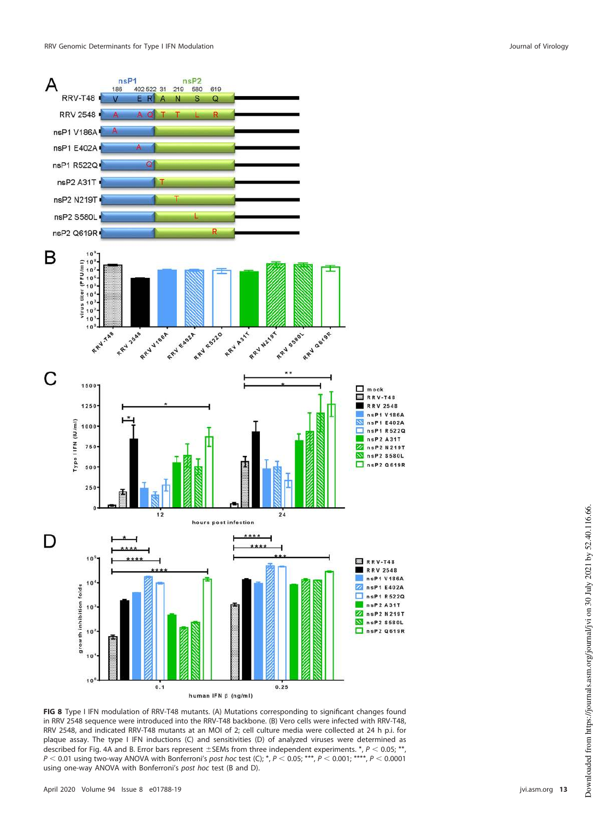nsP1

186

A

 $n$ s $P2$ 

619

402 522 31 219 580



<span id="page-12-0"></span>**FIG 8** Type I IFN modulation of RRV-T48 mutants. (A) Mutations corresponding to significant changes found in RRV 2548 sequence were introduced into the RRV-T48 backbone. (B) Vero cells were infected with RRV-T48, RRV 2548, and indicated RRV-T48 mutants at an MOI of 2; cell culture media were collected at 24 h p.i. for plaque assay. The type I IFN inductions (C) and sensitivities (D) of analyzed viruses were determined as described for [Fig. 4A](#page-5-0) and [B.](#page-5-0) Error bars represent  $\pm$  SEMs from three independent experiments.  $*$ ,  $P$  < 0.05;  $*$ ,  $P < 0.01$  using two-way ANOVA with Bonferroni's post hoc test (C);  $^*$ ,  $P < 0.05$ ; \*\*\*,  $P < 0.001$ ; \*\*\*\*,  $P < 0.0001$ using one-way ANOVA with Bonferroni's post hoc test (B and D).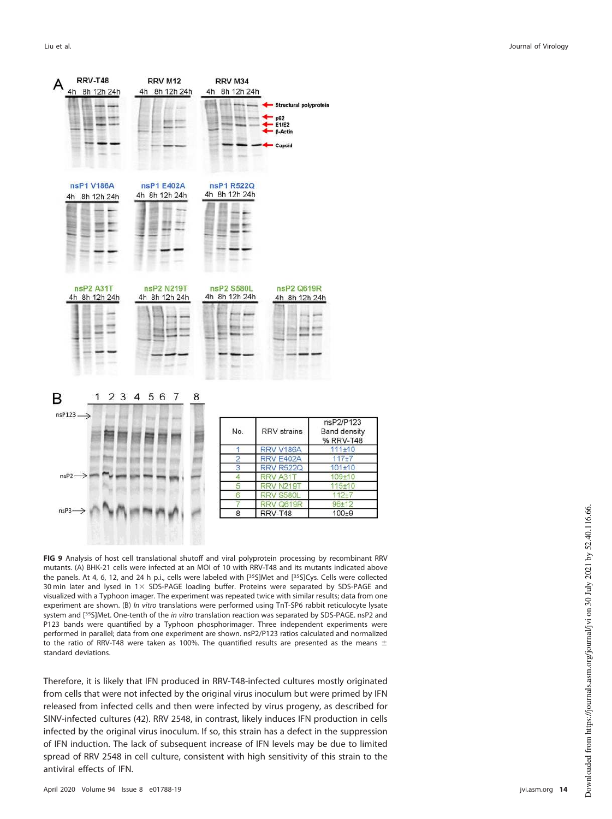

<span id="page-13-0"></span>**FIG 9** Analysis of host cell translational shutoff and viral polyprotein processing by recombinant RRV mutants. (A) BHK-21 cells were infected at an MOI of 10 with RRV-T48 and its mutants indicated above the panels. At 4, 6, 12, and 24 h p.i., cells were labeled with [<sup>35</sup>S]Met and [<sup>35</sup>S]Cys. Cells were collected 30 min later and lysed in  $1 \times$  SDS-PAGE loading buffer. Proteins were separated by SDS-PAGE and visualized with a Typhoon imager. The experiment was repeated twice with similar results; data from one experiment are shown. (B) In vitro translations were performed using TnT-SP6 rabbit reticulocyte lysate system and [<sup>35</sup>S]Met. One-tenth of the *in vitro* translation reaction was separated by SDS-PAGE. nsP2 and P123 bands were quantified by a Typhoon phosphorimager. Three independent experiments were performed in parallel; data from one experiment are shown. nsP2/P123 ratios calculated and normalized to the ratio of RRV-T48 were taken as 100%. The quantified results are presented as the means  $\pm$ standard deviations.

Therefore, it is likely that IFN produced in RRV-T48-infected cultures mostly originated from cells that were not infected by the original virus inoculum but were primed by IFN released from infected cells and then were infected by virus progeny, as described for SINV-infected cultures [\(42\)](#page-19-29). RRV 2548, in contrast, likely induces IFN production in cells infected by the original virus inoculum. If so, this strain has a defect in the suppression of IFN induction. The lack of subsequent increase of IFN levels may be due to limited spread of RRV 2548 in cell culture, consistent with high sensitivity of this strain to the antiviral effects of IFN.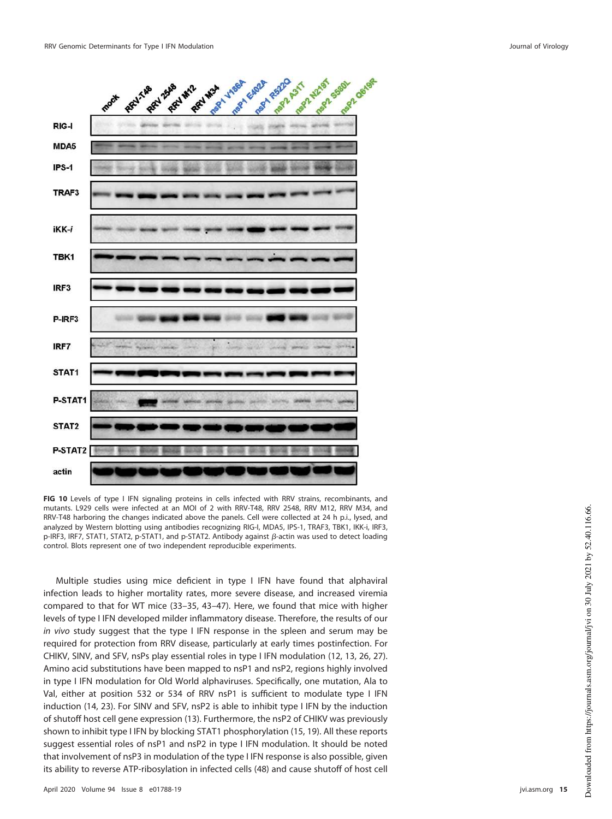

<span id="page-14-0"></span>**FIG 10** Levels of type I IFN signaling proteins in cells infected with RRV strains, recombinants, and mutants. L929 cells were infected at an MOI of 2 with RRV-T48, RRV 2548, RRV M12, RRV M34, and RRV-T48 harboring the changes indicated above the panels. Cell were collected at 24 h p.i., lysed, and analyzed by Western blotting using antibodies recognizing RIG-I, MDA5, IPS-1, TRAF3, TBK1, IKK-i, IRF3, p-IRF3, IRF7, STAT1, STAT2, p-STAT1, and p-STAT2. Antibody against  $\beta$ -actin was used to detect loading control. Blots represent one of two independent reproducible experiments.

Multiple studies using mice deficient in type I IFN have found that alphaviral infection leads to higher mortality rates, more severe disease, and increased viremia compared to that for WT mice [\(33](#page-19-20)[–](#page-19-21)[35,](#page-19-22) [43](#page-19-30)[–](#page-19-31)[47\)](#page-19-32). Here, we found that mice with higher levels of type I IFN developed milder inflammatory disease. Therefore, the results of our in vivo study suggest that the type I IFN response in the spleen and serum may be required for protection from RRV disease, particularly at early times postinfection. For CHIKV, SINV, and SFV, nsPs play essential roles in type I IFN modulation [\(12,](#page-18-10) [13,](#page-19-0) [26,](#page-19-12) [27\)](#page-19-13). Amino acid substitutions have been mapped to nsP1 and nsP2, regions highly involved in type I IFN modulation for Old World alphaviruses. Specifically, one mutation, Ala to Val, either at position 532 or 534 of RRV nsP1 is sufficient to modulate type I IFN induction [\(14,](#page-19-1) [23\)](#page-19-9). For SINV and SFV, nsP2 is able to inhibit type I IFN by the induction of shutoff host cell gene expression [\(13\)](#page-19-0). Furthermore, the nsP2 of CHIKV was previously shown to inhibit type I IFN by blocking STAT1 phosphorylation [\(15,](#page-19-2) [19\)](#page-19-5). All these reports suggest essential roles of nsP1 and nsP2 in type I IFN modulation. It should be noted that involvement of nsP3 in modulation of the type I IFN response is also possible, given its ability to reverse ATP-ribosylation in infected cells [\(48\)](#page-20-1) and cause shutoff of host cell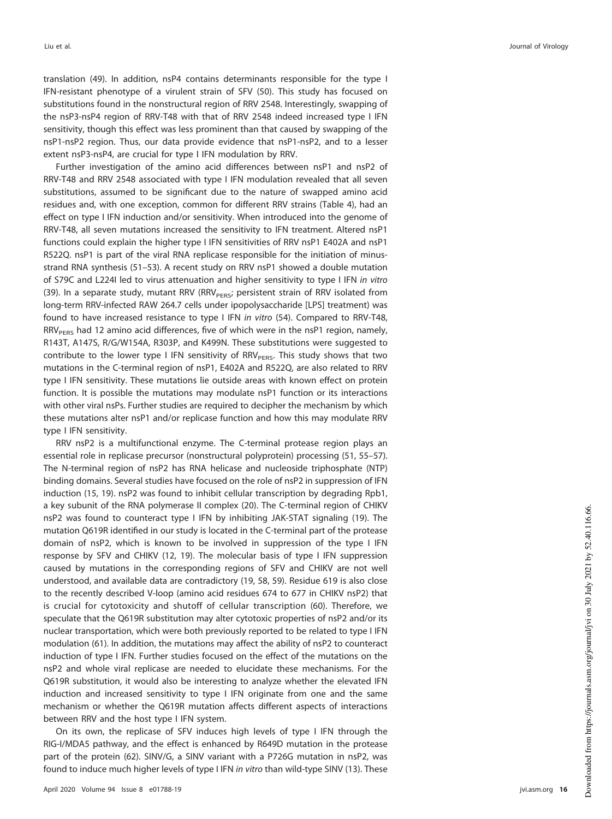translation [\(49\)](#page-20-2). In addition, nsP4 contains determinants responsible for the type I IFN-resistant phenotype of a virulent strain of SFV [\(50\)](#page-20-3). This study has focused on substitutions found in the nonstructural region of RRV 2548. Interestingly, swapping of the nsP3-nsP4 region of RRV-T48 with that of RRV 2548 indeed increased type I IFN sensitivity, though this effect was less prominent than that caused by swapping of the nsP1-nsP2 region. Thus, our data provide evidence that nsP1-nsP2, and to a lesser extent nsP3-nsP4, are crucial for type I IFN modulation by RRV.

Further investigation of the amino acid differences between nsP1 and nsP2 of RRV-T48 and RRV 2548 associated with type I IFN modulation revealed that all seven substitutions, assumed to be significant due to the nature of swapped amino acid residues and, with one exception, common for different RRV strains [\(Table 4\)](#page-11-0), had an effect on type I IFN induction and/or sensitivity. When introduced into the genome of RRV-T48, all seven mutations increased the sensitivity to IFN treatment. Altered nsP1 functions could explain the higher type I IFN sensitivities of RRV nsP1 E402A and nsP1 R522Q. nsP1 is part of the viral RNA replicase responsible for the initiation of minusstrand RNA synthesis [\(51](#page-20-4)[–](#page-20-5)[53\)](#page-20-6). A recent study on RRV nsP1 showed a double mutation of S79C and L224I led to virus attenuation and higher sensitivity to type I IFN in vitro [\(39\)](#page-19-26). In a separate study, mutant RRV (RRV $_{\rm PERS}$ ; persistent strain of RRV isolated from long-term RRV-infected RAW 264.7 cells under ipopolysaccharide [LPS] treatment) was found to have increased resistance to type I IFN in vitro [\(54\)](#page-20-7). Compared to RRV-T48,  $RRV<sub>PERS</sub>$  had 12 amino acid differences, five of which were in the nsP1 region, namely, R143T, A147S, R/G/W154A, R303P, and K499N. These substitutions were suggested to contribute to the lower type I IFN sensitivity of RRV $_{\rm PERS}$ . This study shows that two mutations in the C-terminal region of nsP1, E402A and R522Q, are also related to RRV type I IFN sensitivity. These mutations lie outside areas with known effect on protein function. It is possible the mutations may modulate nsP1 function or its interactions with other viral nsPs. Further studies are required to decipher the mechanism by which these mutations alter nsP1 and/or replicase function and how this may modulate RRV type I IFN sensitivity.

RRV nsP2 is a multifunctional enzyme. The C-terminal protease region plays an essential role in replicase precursor (nonstructural polyprotein) processing [\(51,](#page-20-4) [55](#page-20-8)[–](#page-20-9)[57\)](#page-20-10). The N-terminal region of nsP2 has RNA helicase and nucleoside triphosphate (NTP) binding domains. Several studies have focused on the role of nsP2 in suppression of IFN induction [\(15,](#page-19-2) [19\)](#page-19-5). nsP2 was found to inhibit cellular transcription by degrading Rpb1, a key subunit of the RNA polymerase II complex [\(20\)](#page-19-6). The C-terminal region of CHIKV nsP2 was found to counteract type I IFN by inhibiting JAK-STAT signaling [\(19\)](#page-19-5). The mutation Q619R identified in our study is located in the C-terminal part of the protease domain of nsP2, which is known to be involved in suppression of the type I IFN response by SFV and CHIKV [\(12,](#page-18-10) [19\)](#page-19-5). The molecular basis of type I IFN suppression caused by mutations in the corresponding regions of SFV and CHIKV are not well understood, and available data are contradictory [\(19,](#page-19-5) [58,](#page-20-11) [59\)](#page-20-12). Residue 619 is also close to the recently described V-loop (amino acid residues 674 to 677 in CHIKV nsP2) that is crucial for cytotoxicity and shutoff of cellular transcription [\(60\)](#page-20-13). Therefore, we speculate that the Q619R substitution may alter cytotoxic properties of nsP2 and/or its nuclear transportation, which were both previously reported to be related to type I IFN modulation [\(61\)](#page-20-14). In addition, the mutations may affect the ability of nsP2 to counteract induction of type I IFN. Further studies focused on the effect of the mutations on the nsP2 and whole viral replicase are needed to elucidate these mechanisms. For the Q619R substitution, it would also be interesting to analyze whether the elevated IFN induction and increased sensitivity to type I IFN originate from one and the same mechanism or whether the Q619R mutation affects different aspects of interactions between RRV and the host type I IFN system.

On its own, the replicase of SFV induces high levels of type I IFN through the RIG-I/MDA5 pathway, and the effect is enhanced by R649D mutation in the protease part of the protein [\(62\)](#page-20-15). SINV/G, a SINV variant with a P726G mutation in nsP2, was found to induce much higher levels of type I IFN in vitro than wild-type SINV [\(13\)](#page-19-0). These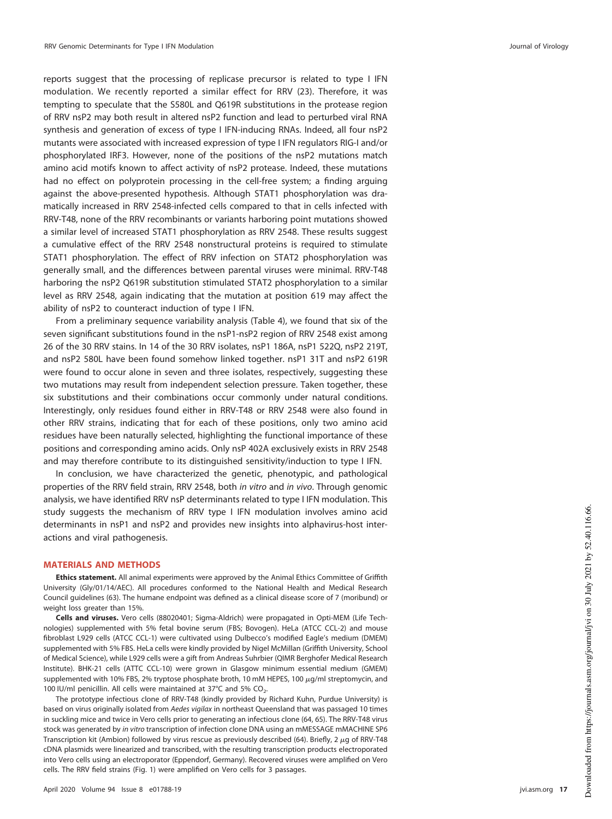reports suggest that the processing of replicase precursor is related to type I IFN modulation. We recently reported a similar effect for RRV [\(23\)](#page-19-9). Therefore, it was tempting to speculate that the S580L and Q619R substitutions in the protease region of RRV nsP2 may both result in altered nsP2 function and lead to perturbed viral RNA synthesis and generation of excess of type I IFN-inducing RNAs. Indeed, all four nsP2 mutants were associated with increased expression of type I IFN regulators RIG-I and/or phosphorylated IRF3. However, none of the positions of the nsP2 mutations match amino acid motifs known to affect activity of nsP2 protease. Indeed, these mutations had no effect on polyprotein processing in the cell-free system; a finding arguing against the above-presented hypothesis. Although STAT1 phosphorylation was dramatically increased in RRV 2548-infected cells compared to that in cells infected with RRV-T48, none of the RRV recombinants or variants harboring point mutations showed a similar level of increased STAT1 phosphorylation as RRV 2548. These results suggest a cumulative effect of the RRV 2548 nonstructural proteins is required to stimulate STAT1 phosphorylation. The effect of RRV infection on STAT2 phosphorylation was generally small, and the differences between parental viruses were minimal. RRV-T48 harboring the nsP2 Q619R substitution stimulated STAT2 phosphorylation to a similar level as RRV 2548, again indicating that the mutation at position 619 may affect the ability of nsP2 to counteract induction of type I IFN.

From a preliminary sequence variability analysis [\(Table 4\)](#page-11-0), we found that six of the seven significant substitutions found in the nsP1-nsP2 region of RRV 2548 exist among 26 of the 30 RRV stains. In 14 of the 30 RRV isolates, nsP1 186A, nsP1 522Q, nsP2 219T, and nsP2 580L have been found somehow linked together. nsP1 31T and nsP2 619R were found to occur alone in seven and three isolates, respectively, suggesting these two mutations may result from independent selection pressure. Taken together, these six substitutions and their combinations occur commonly under natural conditions. Interestingly, only residues found either in RRV-T48 or RRV 2548 were also found in other RRV strains, indicating that for each of these positions, only two amino acid residues have been naturally selected, highlighting the functional importance of these positions and corresponding amino acids. Only nsP 402A exclusively exists in RRV 2548 and may therefore contribute to its distinguished sensitivity/induction to type I IFN.

In conclusion, we have characterized the genetic, phenotypic, and pathological properties of the RRV field strain, RRV 2548, both in vitro and in vivo. Through genomic analysis, we have identified RRV nsP determinants related to type I IFN modulation. This study suggests the mechanism of RRV type I IFN modulation involves amino acid determinants in nsP1 and nsP2 and provides new insights into alphavirus-host interactions and viral pathogenesis.

#### **MATERIALS AND METHODS**

**Ethics statement.** All animal experiments were approved by the Animal Ethics Committee of Griffith University (Gly/01/14/AEC). All procedures conformed to the National Health and Medical Research Council guidelines [\(63\)](#page-20-16). The humane endpoint was defined as a clinical disease score of 7 (moribund) or weight loss greater than 15%.

**Cells and viruses.** Vero cells (88020401; Sigma-Aldrich) were propagated in Opti-MEM (Life Technologies) supplemented with 5% fetal bovine serum (FBS; Bovogen). HeLa (ATCC CCL-2) and mouse fibroblast L929 cells (ATCC CCL-1) were cultivated using Dulbecco's modified Eagle's medium (DMEM) supplemented with 5% FBS. HeLa cells were kindly provided by Nigel McMillan (Griffith University, School of Medical Science), while L929 cells were a gift from Andreas Suhrbier (QIMR Berghofer Medical Research Institute). BHK-21 cells (ATTC CCL-10) were grown in Glasgow minimum essential medium (GMEM) supplemented with 10% FBS, 2% tryptose phosphate broth, 10 mM HEPES, 100 μg/ml streptomycin, and 100 IU/ml penicillin. All cells were maintained at 37°C and 5%  $CO_2$ .

The prototype infectious clone of RRV-T48 (kindly provided by Richard Kuhn, Purdue University) is based on virus originally isolated from Aedes vigilax in northeast Queensland that was passaged 10 times in suckling mice and twice in Vero cells prior to generating an infectious clone [\(64,](#page-20-17) [65\)](#page-20-18). The RRV-T48 virus stock was generated by in vitro transcription of infection clone DNA using an mMESSAGE mMACHINE SP6 Transcription kit (Ambion) followed by virus rescue as previously described [\(64\)](#page-20-17). Briefly, 2  $\mu$ g of RRV-T48 cDNA plasmids were linearized and transcribed, with the resulting transcription products electroporated into Vero cells using an electroporator (Eppendorf, Germany). Recovered viruses were amplified on Vero cells. The RRV field strains [\(Fig. 1\)](#page-2-0) were amplified on Vero cells for 3 passages.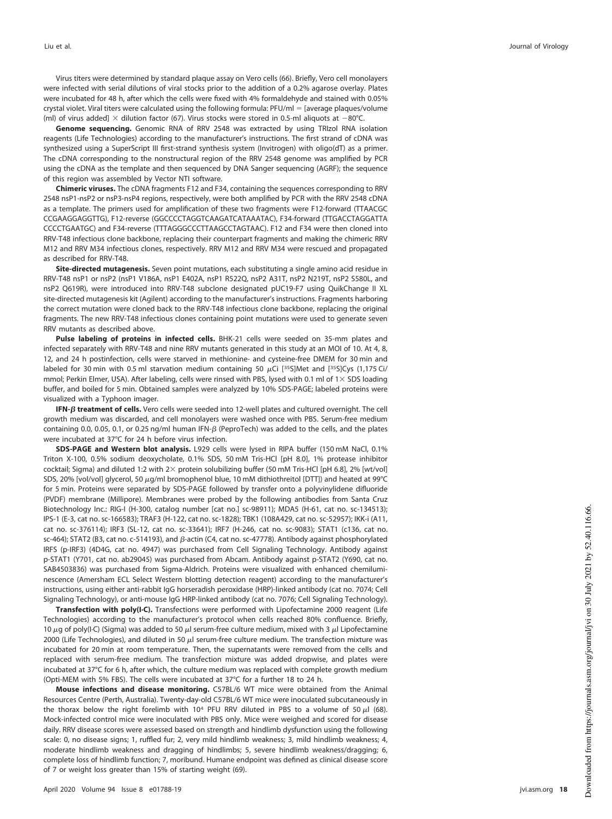Virus titers were determined by standard plaque assay on Vero cells [\(66\)](#page-20-19). Briefly, Vero cell monolayers were infected with serial dilutions of viral stocks prior to the addition of a 0.2% agarose overlay. Plates were incubated for 48 h, after which the cells were fixed with 4% formaldehyde and stained with 0.05% crystal violet. Viral titers were calculated using the following formula: PFU/ml = [average plaques/volume (ml) of virus added]  $\times$  dilution factor [\(67\)](#page-20-0). Virus stocks were stored in 0.5-ml aliquots at  $-80^{\circ}$ C.

**Genome sequencing.** Genomic RNA of RRV 2548 was extracted by using TRIzol RNA isolation reagents (Life Technologies) according to the manufacturer's instructions. The first strand of cDNA was synthesized using a SuperScript III first-strand synthesis system (Invitrogen) with oligo(dT) as a primer. The cDNA corresponding to the nonstructural region of the RRV 2548 genome was amplified by PCR using the cDNA as the template and then sequenced by DNA Sanger sequencing (AGRF); the sequence of this region was assembled by Vector NTI software.

**Chimeric viruses.** The cDNA fragments F12 and F34, containing the sequences corresponding to RRV 2548 nsP1-nsP2 or nsP3-nsP4 regions, respectively, were both amplified by PCR with the RRV 2548 cDNA as a template. The primers used for amplification of these two fragments were F12-forward (TTAACGC CCGAAGGAGGTTG), F12-reverse (GGCCCCTAGGTCAAGATCATAAATAC), F34-forward (TTGACCTAGGATTA CCCCTGAATGC) and F34-reverse (TTTAGGGCCCTTAAGCCTAGTAAC). F12 and F34 were then cloned into RRV-T48 infectious clone backbone, replacing their counterpart fragments and making the chimeric RRV M12 and RRV M34 infectious clones, respectively. RRV M12 and RRV M34 were rescued and propagated as described for RRV-T48.

**Site-directed mutagenesis.** Seven point mutations, each substituting a single amino acid residue in RRV-T48 nsP1 or nsP2 (nsP1 V186A, nsP1 E402A, nsP1 R522Q, nsP2 A31T, nsP2 N219T, nsP2 S580L, and nsP2 Q619R), were introduced into RRV-T48 subclone designated pUC19-F7 using QuikChange II XL site-directed mutagenesis kit (Agilent) according to the manufacturer's instructions. Fragments harboring the correct mutation were cloned back to the RRV-T48 infectious clone backbone, replacing the original fragments. The new RRV-T48 infectious clones containing point mutations were used to generate seven RRV mutants as described above.

**Pulse labeling of proteins in infected cells.** BHK-21 cells were seeded on 35-mm plates and infected separately with RRV-T48 and nine RRV mutants generated in this study at an MOI of 10. At 4, 8, 12, and 24 h postinfection, cells were starved in methionine- and cysteine-free DMEM for 30 min and labeled for 30 min with 0.5 ml starvation medium containing 50  $\mu$ Ci [<sup>35</sup>S]Met and [<sup>35</sup>S]Cys (1,175 Ci/ mmol; Perkin Elmer, USA). After labeling, cells were rinsed with PBS, lysed with 0.1 ml of 1 × SDS loading buffer, and boiled for 5 min. Obtained samples were analyzed by 10% SDS-PAGE; labeled proteins were visualized with a Typhoon imager.

**IFN-** - **treatment of cells.** Vero cells were seeded into 12-well plates and cultured overnight. The cell growth medium was discarded, and cell monolayers were washed once with PBS. Serum-free medium containing 0.0, 0.05, 0.1, or 0.25 ng/ml human IFN- $\beta$  (PeproTech) was added to the cells, and the plates were incubated at 37°C for 24 h before virus infection.

**SDS-PAGE and Western blot analysis.** L929 cells were lysed in RIPA buffer (150 mM NaCl, 0.1% Triton X-100, 0.5% sodium deoxycholate, 0.1% SDS, 50 mM Tris-HCl [pH 8.0], 1% protease inhibitor cocktail; Sigma) and diluted 1:2 with 2 $\times$  protein solubilizing buffer (50 mM Tris-HCl [pH 6.8], 2% [wt/vol] SDS, 20% [vol/vol] glycerol, 50  $\mu$ g/ml bromophenol blue, 10 mM dithiothreitol [DTT]) and heated at 99°C for 5 min. Proteins were separated by SDS-PAGE followed by transfer onto a polyvinylidene difluoride (PVDF) membrane (Millipore). Membranes were probed by the following antibodies from Santa Cruz Biotechnology Inc.: RIG-I (H-300, catalog number [cat no.] sc-98911); MDA5 (H-61, cat no. sc-134513); IPS-1 (E-3, cat no. sc-166583); TRAF3 (H-122, cat no. sc-1828); TBK1 (108A429, cat no. sc-52957); IKK-i (A11, cat no. sc-376114); IRF3 (SL-12, cat no. sc-33641); IRF7 (H-246, cat no. sc-9083); STAT1 (c136, cat no. sc-464); STAT2 (B3, cat no. c-514193), and β-actin (C4, cat no. sc-47778). Antibody against phosphorylated IRFS (p-IRF3) (4D4G, cat no. 4947) was purchased from Cell Signaling Technology. Antibody against p-STAT1 (Y701, cat no. ab29045) was purchased from Abcam. Antibody against p-STAT2 (Y690, cat no. SAB4503836) was purchased from Sigma-Aldrich. Proteins were visualized with enhanced chemiluminescence (Amersham ECL Select Western blotting detection reagent) according to the manufacturer's instructions, using either anti-rabbit IgG horseradish peroxidase (HRP)-linked antibody (cat no. 7074; Cell Signaling Technology), or anti-mouse IgG HRP-linked antibody (cat no. 7076; Cell Signaling Technology).

**Transfection with poly(I·C).** Transfections were performed with Lipofectamine 2000 reagent (Life Technologies) according to the manufacturer's protocol when cells reached 80% confluence. Briefly, 10  $\mu$ g of poly(I·C) (Sigma) was added to 50  $\mu$ l serum-free culture medium, mixed with 3  $\mu$ l Lipofectamine 2000 (Life Technologies), and diluted in 50  $\mu$ l serum-free culture medium. The transfection mixture was incubated for 20 min at room temperature. Then, the supernatants were removed from the cells and replaced with serum-free medium. The transfection mixture was added dropwise, and plates were incubated at 37°C for 6 h, after which, the culture medium was replaced with complete growth medium (Opti-MEM with 5% FBS). The cells were incubated at 37°C for a further 18 to 24 h.

**Mouse infections and disease monitoring.** C57BL/6 WT mice were obtained from the Animal Resources Centre (Perth, Australia). Twenty-day-old C57BL/6 WT mice were inoculated subcutaneously in the thorax below the right forelimb with 10<sup>4</sup> PFU RRV diluted in PBS to a volume of 50  $\mu$ l [\(68\)](#page-20-20). Mock-infected control mice were inoculated with PBS only. Mice were weighed and scored for disease daily. RRV disease scores were assessed based on strength and hindlimb dysfunction using the following scale: 0, no disease signs; 1, ruffled fur; 2, very mild hindlimb weakness; 3, mild hindlimb weakness; 4, moderate hindlimb weakness and dragging of hindlimbs; 5, severe hindlimb weakness/dragging; 6, complete loss of hindlimb function; 7, moribund. Humane endpoint was defined as clinical disease score of 7 or weight loss greater than 15% of starting weight [\(69\)](#page-20-21).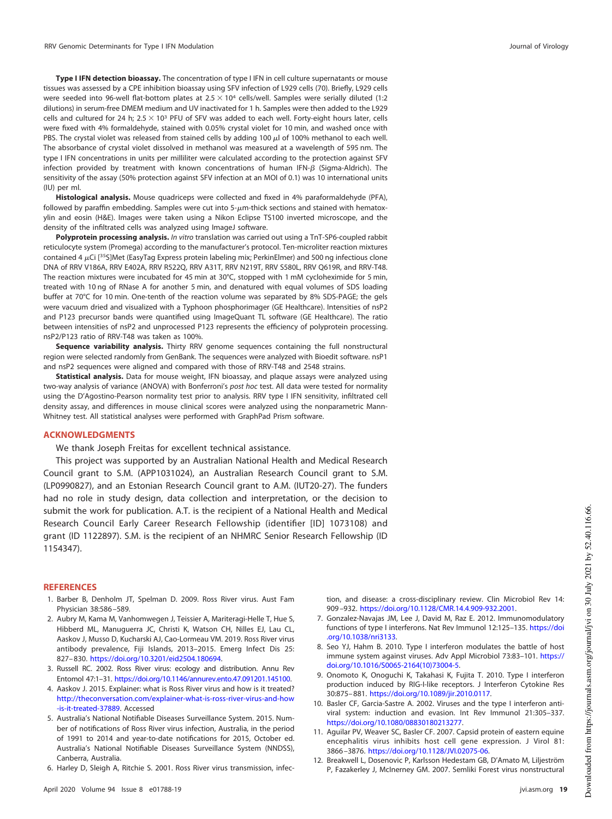**Type I IFN detection bioassay.** The concentration of type I IFN in cell culture supernatants or mouse tissues was assessed by a CPE inhibition bioassay using SFV infection of L929 cells [\(70\)](#page-20-22). Briefly, L929 cells were seeded into 96-well flat-bottom plates at  $2.5 \times 10^4$  cells/well. Samples were serially diluted (1:2 dilutions) in serum-free DMEM medium and UV inactivated for 1 h. Samples were then added to the L929 cells and cultured for 24 h;  $2.5 \times 10^3$  PFU of SFV was added to each well. Forty-eight hours later, cells were fixed with 4% formaldehyde, stained with 0.05% crystal violet for 10 min, and washed once with PBS. The crystal violet was released from stained cells by adding 100  $\mu$ l of 100% methanol to each well. The absorbance of crystal violet dissolved in methanol was measured at a wavelength of 595 nm. The type I IFN concentrations in units per milliliter were calculated according to the protection against SFV infection provided by treatment with known concentrations of human IFN- $\beta$  (Sigma-Aldrich). The sensitivity of the assay (50% protection against SFV infection at an MOI of 0.1) was 10 international units (IU) per ml.

**Histological analysis.** Mouse quadriceps were collected and fixed in 4% paraformaldehyde (PFA), followed by paraffin embedding. Samples were cut into  $5-\mu m$ -thick sections and stained with hematoxylin and eosin (H&E). Images were taken using a Nikon Eclipse TS100 inverted microscope, and the density of the infiltrated cells was analyzed using ImageJ software.

**Polyprotein processing analysis.** In vitro translation was carried out using a TnT-SP6-coupled rabbit reticulocyte system (Promega) according to the manufacturer's protocol. Ten-microliter reaction mixtures contained 4 µCi [35S]Met (EasyTag Express protein labeling mix; PerkinElmer) and 500 ng infectious clone DNA of RRV V186A, RRV E402A, RRV R522Q, RRV A31T, RRV N219T, RRV S580L, RRV Q619R, and RRV-T48. The reaction mixtures were incubated for 45 min at 30°C, stopped with 1 mM cycloheximide for 5 min, treated with 10 ng of RNase A for another 5 min, and denatured with equal volumes of SDS loading buffer at 70°C for 10 min. One-tenth of the reaction volume was separated by 8% SDS-PAGE; the gels were vacuum dried and visualized with a Typhoon phosphorimager (GE Healthcare). Intensities of nsP2 and P123 precursor bands were quantified using ImageQuant TL software (GE Healthcare). The ratio between intensities of nsP2 and unprocessed P123 represents the efficiency of polyprotein processing. nsP2/P123 ratio of RRV-T48 was taken as 100%.

**Sequence variability analysis.** Thirty RRV genome sequences containing the full nonstructural region were selected randomly from GenBank. The sequences were analyzed with Bioedit software. nsP1 and nsP2 sequences were aligned and compared with those of RRV-T48 and 2548 strains.

**Statistical analysis.** Data for mouse weight, IFN bioassay, and plaque assays were analyzed using two-way analysis of variance (ANOVA) with Bonferroni's post hoc test. All data were tested for normality using the D'Agostino-Pearson normality test prior to analysis. RRV type I IFN sensitivity, infiltrated cell density assay, and differences in mouse clinical scores were analyzed using the nonparametric Mann-Whitney test. All statistical analyses were performed with GraphPad Prism software.

### **ACKNOWLEDGMENTS**

We thank Joseph Freitas for excellent technical assistance.

This project was supported by an Australian National Health and Medical Research Council grant to S.M. (APP1031024), an Australian Research Council grant to S.M. (LP0990827), and an Estonian Research Council grant to A.M. (IUT20-27). The funders had no role in study design, data collection and interpretation, or the decision to submit the work for publication. A.T. is the recipient of a National Health and Medical Research Council Early Career Research Fellowship (identifier [ID] 1073108) and grant (ID 1122897). S.M. is the recipient of an NHMRC Senior Research Fellowship (ID 1154347).

## <span id="page-18-0"></span>**REFERENCES**

- <span id="page-18-1"></span>1. Barber B, Denholm JT, Spelman D. 2009. Ross River virus. Aust Fam Physician 38:586 –589.
- 2. Aubry M, Kama M, Vanhomwegen J, Teissier A, Mariteragi-Helle T, Hue S, Hibberd ML, Manuguerra JC, Christi K, Watson CH, Nilles EJ, Lau CL, Aaskov J, Musso D, Kucharski AJ, Cao-Lormeau VM. 2019. Ross River virus antibody prevalence, Fiji Islands, 2013–2015. Emerg Infect Dis 25: 827– 830. https://doi.org/10.3201/eid2504.180694.
- <span id="page-18-3"></span><span id="page-18-2"></span>3. Russell RC. 2002. Ross River virus: ecology and distribution. Annu Rev Entomol 47:1–31. https://doi.org/10.1146/annurev.ento.47.091201.145100.
- <span id="page-18-4"></span>4. Aaskov J. 2015. Explainer: what is Ross River virus and how is it treated? http://theconversation.com/explainer-what-is-ross-river-virus-and-how -is-it-treated-37889. Accessed
- 5. Australia's National Notifiable Diseases Surveillance System. 2015. Number of notifications of Ross River virus infection, Australia, in the period of 1991 to 2014 and year-to-date notifications for 2015, October ed. Australia's National Notifiable Diseases Surveillance System (NNDSS), Canberra, Australia.
- <span id="page-18-5"></span>6. Harley D, Sleigh A, Ritchie S. 2001. Ross River virus transmission, infec-

tion, and disease: a cross-disciplinary review. Clin Microbiol Rev 14: 909 –932. https://doi.org/10.1128/CMR.14.4.909-932.2001.

- <span id="page-18-6"></span>7. Gonzalez-Navajas JM, Lee J, David M, Raz E. 2012. Immunomodulatory functions of type I interferons. Nat Rev Immunol 12:125–135. https://doi .org/10.1038/nri3133.
- <span id="page-18-7"></span>8. Seo YJ, Hahm B. 2010. Type I interferon modulates the battle of host immune system against viruses. Adv Appl Microbiol 73:83–101. https:// doi.org/10.1016/S0065-2164(10)73004-5.
- <span id="page-18-8"></span>9. Onomoto K, Onoguchi K, Takahasi K, Fujita T. 2010. Type I interferon production induced by RIG-I-like receptors. J Interferon Cytokine Res 30:875– 881. https://doi.org/10.1089/jir.2010.0117.
- <span id="page-18-9"></span>10. Basler CF, Garcia-Sastre A. 2002. Viruses and the type I interferon antiviral system: induction and evasion. Int Rev Immunol 21:305–337. https://doi.org/10.1080/08830180213277.
- <span id="page-18-10"></span>11. Aguilar PV, Weaver SC, Basler CF. 2007. Capsid protein of eastern equine encephalitis virus inhibits host cell gene expression. J Virol 81: 3866 –3876. https://doi.org/10.1128/JVI.02075-06.
- 12. Breakwell L, Dosenovic P, Karlsson Hedestam GB, D'Amato M, Liljeström P, Fazakerley J, McInerney GM. 2007. Semliki Forest virus nonstructural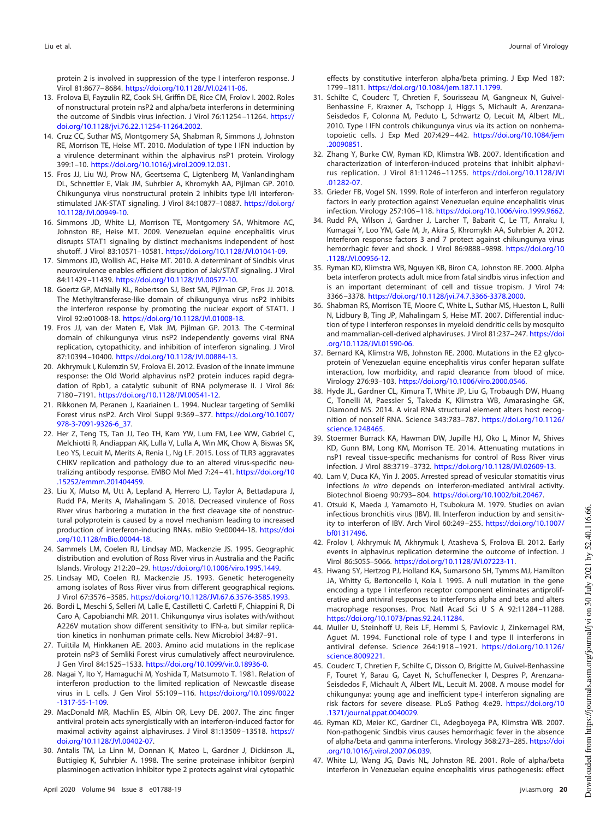protein 2 is involved in suppression of the type I interferon response. J Virol 81:8677– 8684. https://doi.org/10.1128/JVI.02411-06.

- <span id="page-19-0"></span>13. Frolova EI, Fayzulin RZ, Cook SH, Griffin DE, Rice CM, Frolov I. 2002. Roles of nonstructural protein nsP2 and alpha/beta interferons in determining the outcome of Sindbis virus infection. J Virol 76:11254 –11264. https:// doi.org/10.1128/jvi.76.22.11254-11264.2002.
- <span id="page-19-1"></span>14. Cruz CC, Suthar MS, Montgomery SA, Shabman R, Simmons J, Johnston RE, Morrison TE, Heise MT. 2010. Modulation of type I IFN induction by a virulence determinant within the alphavirus nsP1 protein. Virology 399:1–10. https://doi.org/10.1016/j.virol.2009.12.031.
- <span id="page-19-2"></span>15. Fros JJ, Liu WJ, Prow NA, Geertsema C, Ligtenberg M, Vanlandingham DL, Schnettler E, Vlak JM, Suhrbier A, Khromykh AA, Pijlman GP. 2010. Chikungunya virus nonstructural protein 2 inhibits type I/II interferonstimulated JAK-STAT signaling. J Virol 84:10877–10887. https://doi.org/ 10.1128/JVI.00949-10.
- <span id="page-19-19"></span>16. Simmons JD, White LJ, Morrison TE, Montgomery SA, Whitmore AC, Johnston RE, Heise MT. 2009. Venezuelan equine encephalitis virus disrupts STAT1 signaling by distinct mechanisms independent of host shutoff. J Virol 83:10571–10581. https://doi.org/10.1128/JVI.01041-09.
- <span id="page-19-3"></span>17. Simmons JD, Wollish AC, Heise MT. 2010. A determinant of Sindbis virus neurovirulence enables efficient disruption of Jak/STAT signaling. J Virol 84:11429 –11439. https://doi.org/10.1128/JVI.00577-10.
- <span id="page-19-4"></span>18. Goertz GP, McNally KL, Robertson SJ, Best SM, Pijlman GP, Fros JJ. 2018. The Methyltransferase-like domain of chikungunya virus nsP2 inhibits the interferon response by promoting the nuclear export of STAT1. J Virol 92:e01008-18. https://doi.org/10.1128/JVI.01008-18.
- <span id="page-19-5"></span>19. Fros JJ, van der Maten E, Vlak JM, Pijlman GP. 2013. The C-terminal domain of chikungunya virus nsP2 independently governs viral RNA replication, cytopathicity, and inhibition of interferon signaling. J Virol 87:10394 –10400. https://doi.org/10.1128/JVI.00884-13.
- <span id="page-19-6"></span>20. Akhrymuk I, Kulemzin SV, Frolova EI. 2012. Evasion of the innate immune response: the Old World alphavirus nsP2 protein induces rapid degradation of Rpb1, a catalytic subunit of RNA polymerase II. J Virol 86: 7180 –7191. https://doi.org/10.1128/JVI.00541-12.
- <span id="page-19-7"></span>21. Rikkonen M, Peranen J, Kaariainen L. 1994. Nuclear targeting of Semliki Forest virus nsP2. Arch Virol Suppl 9:369 –377. https://doi.org/10.1007/ 978-3-7091-9326-6\_37.
- <span id="page-19-8"></span>22. Her Z, Teng TS, Tan JJ, Teo TH, Kam YW, Lum FM, Lee WW, Gabriel C, Melchiotti R, Andiappan AK, Lulla V, Lulla A, Win MK, Chow A, Biswas SK, Leo YS, Lecuit M, Merits A, Renia L, Ng LF. 2015. Loss of TLR3 aggravates CHIKV replication and pathology due to an altered virus-specific neutralizing antibody response. EMBO Mol Med 7:24 – 41. https://doi.org/10 .15252/emmm.201404459.
- <span id="page-19-9"></span>23. Liu X, Mutso M, Utt A, Lepland A, Herrero LJ, Taylor A, Bettadapura J, Rudd PA, Merits A, Mahalingam S. 2018. Decreased virulence of Ross River virus harboring a mutation in the first cleavage site of nonstructural polyprotein is caused by a novel mechanism leading to increased production of interferon-inducing RNAs. mBio 9:e00044-18. https://doi .org/10.1128/mBio.00044-18.
- <span id="page-19-10"></span>24. Sammels LM, Coelen RJ, Lindsay MD, Mackenzie JS. 1995. Geographic distribution and evolution of Ross River virus in Australia and the Pacific Islands. Virology 212:20 –29. https://doi.org/10.1006/viro.1995.1449.
- <span id="page-19-12"></span><span id="page-19-11"></span>25. Lindsay MD, Coelen RJ, Mackenzie JS. 1993. Genetic heterogeneity among isolates of Ross River virus from different geographical regions. J Virol 67:3576 –3585. https://doi.org/10.1128/JVI.67.6.3576-3585.1993.
- 26. Bordi L, Meschi S, Selleri M, Lalle E, Castilletti C, Carletti F, Chiappini R, Di Caro A, Capobianchi MR. 2011. Chikungunya virus isolates with/without A226V mutation show different sensitivity to IFN-a, but similar replication kinetics in nonhuman primate cells. New Microbiol 34:87–91.
- <span id="page-19-14"></span><span id="page-19-13"></span>27. Tuittila M, Hinkkanen AE. 2003. Amino acid mutations in the replicase protein nsP3 of Semliki Forest virus cumulatively affect neurovirulence. J Gen Virol 84:1525–1533. https://doi.org/10.1099/vir.0.18936-0.
- 28. Nagai Y, Ito Y, Hamaguchi M, Yoshida T, Matsumoto T. 1981. Relation of interferon production to the limited replication of Newcastle disease virus in L cells. J Gen Virol 55:109-116. https://doi.org/10.1099/0022 -1317-55-1-109.
- <span id="page-19-15"></span>29. MacDonald MR, Machlin ES, Albin OR, Levy DE. 2007. The zinc finger antiviral protein acts synergistically with an interferon-induced factor for maximal activity against alphaviruses. J Virol 81:13509-13518. https:// doi.org/10.1128/JVI.00402-07.
- <span id="page-19-16"></span>30. Antalis TM, La Linn M, Donnan K, Mateo L, Gardner J, Dickinson JL, Buttigieg K, Suhrbier A. 1998. The serine proteinase inhibitor (serpin) plasminogen activation inhibitor type 2 protects against viral cytopathic

effects by constitutive interferon alpha/beta priming. J Exp Med 187: 1799 –1811. https://doi.org/10.1084/jem.187.11.1799.

- <span id="page-19-17"></span>31. Schilte C, Couderc T, Chretien F, Sourisseau M, Gangneux N, Guivel-Benhassine F, Kraxner A, Tschopp J, Higgs S, Michault A, Arenzana-Seisdedos F, Colonna M, Peduto L, Schwartz O, Lecuit M, Albert ML. 2010. Type I IFN controls chikungunya virus via its action on nonhematopoietic cells. J Exp Med 207:429 – 442. https://doi.org/10.1084/jem .20090851.
- <span id="page-19-18"></span>32. Zhang Y, Burke CW, Ryman KD, Klimstra WB. 2007. Identification and characterization of interferon-induced proteins that inhibit alphavirus replication. J Virol 81:11246 –11255. https://doi.org/10.1128/JVI .01282-07.
- <span id="page-19-20"></span>33. Grieder FB, Vogel SN. 1999. Role of interferon and interferon regulatory factors in early protection against Venezuelan equine encephalitis virus infection. Virology 257:106 –118. https://doi.org/10.1006/viro.1999.9662.
- <span id="page-19-21"></span>34. Rudd PA, Wilson J, Gardner J, Larcher T, Babarit C, Le TT, Anraku I, Kumagai Y, Loo YM, Gale M, Jr, Akira S, Khromykh AA, Suhrbier A. 2012. Interferon response factors 3 and 7 protect against chikungunya virus hemorrhagic fever and shock. J Virol 86:9888-9898. https://doi.org/10 .1128/JVI.00956-12.
- <span id="page-19-22"></span>35. Ryman KD, Klimstra WB, Nguyen KB, Biron CA, Johnston RE. 2000. Alpha beta interferon protects adult mice from fatal sindbis virus infection and is an important determinant of cell and tissue tropism. J Virol 74: 3366 –3378. https://doi.org/10.1128/jvi.74.7.3366-3378.2000.
- <span id="page-19-23"></span>36. Shabman RS, Morrison TE, Moore C, White L, Suthar MS, Hueston L, Rulli N, Lidbury B, Ting JP, Mahalingam S, Heise MT. 2007. Differential induction of type I interferon responses in myeloid dendritic cells by mosquito and mammalian-cell-derived alphaviruses. J Virol 81:237–247. https://doi .org/10.1128/JVI.01590-06.
- <span id="page-19-24"></span>37. Bernard KA, Klimstra WB, Johnston RE. 2000. Mutations in the E2 glycoprotein of Venezuelan equine encephalitis virus confer heparan sulfate interaction, low morbidity, and rapid clearance from blood of mice. Virology 276:93–103. https://doi.org/10.1006/viro.2000.0546.
- <span id="page-19-25"></span>38. Hyde JL, Gardner CL, Kimura T, White JP, Liu G, Trobaugh DW, Huang C, Tonelli M, Paessler S, Takeda K, Klimstra WB, Amarasinghe GK, Diamond MS. 2014. A viral RNA structural element alters host recognition of nonself RNA. Science 343:783–787. https://doi.org/10.1126/ science.1248465.
- <span id="page-19-26"></span>39. Stoermer Burrack KA, Hawman DW, Jupille HJ, Oko L, Minor M, Shives KD, Gunn BM, Long KM, Morrison TE. 2014. Attenuating mutations in nsP1 reveal tissue-specific mechanisms for control of Ross River virus infection. J Virol 88:3719 –3732. https://doi.org/10.1128/JVI.02609-13.
- <span id="page-19-27"></span>40. Lam V, Duca KA, Yin J. 2005. Arrested spread of vesicular stomatitis virus infections in vitro depends on interferon-mediated antiviral activity. Biotechnol Bioeng 90:793– 804. https://doi.org/10.1002/bit.20467.
- <span id="page-19-28"></span>41. Otsuki K, Maeda J, Yamamoto H, Tsubokura M. 1979. Studies on avian infectious bronchitis virus (IBV). III. Interferon induction by and sensitivity to interferon of IBV. Arch Virol 60:249 –255. https://doi.org/10.1007/ bf01317496.
- <span id="page-19-29"></span>42. Frolov I, Akhrymuk M, Akhrymuk I, Atasheva S, Frolova EI. 2012. Early events in alphavirus replication determine the outcome of infection. J Virol 86:5055–5066. https://doi.org/10.1128/JVI.07223-11.
- <span id="page-19-30"></span>43. Hwang SY, Hertzog PJ, Holland KA, Sumarsono SH, Tymms MJ, Hamilton JA, Whitty G, Bertoncello I, Kola I. 1995. A null mutation in the gene encoding a type I interferon receptor component eliminates antiproliferative and antiviral responses to interferons alpha and beta and alters macrophage responses. Proc Natl Acad Sci U S A 92:11284-11288. https://doi.org/10.1073/pnas.92.24.11284.
- 44. Muller U, Steinhoff U, Reis LF, Hemmi S, Pavlovic J, Zinkernagel RM, Aguet M. 1994. Functional role of type I and type II interferons in antiviral defense. Science 264:1918 –1921. https://doi.org/10.1126/ science.8009221.
- 45. Couderc T, Chretien F, Schilte C, Disson O, Brigitte M, Guivel-Benhassine F, Touret Y, Barau G, Cayet N, Schuffenecker I, Despres P, Arenzana-Seisdedos F, Michault A, Albert ML, Lecuit M. 2008. A mouse model for chikungunya: young age and inefficient type-I interferon signaling are risk factors for severe disease. PLoS Pathog 4:e29. https://doi.org/10 .1371/journal.ppat.0040029.
- <span id="page-19-31"></span>46. Ryman KD, Meier KC, Gardner CL, Adegboyega PA, Klimstra WB. 2007. Non-pathogenic Sindbis virus causes hemorrhagic fever in the absence of alpha/beta and gamma interferons. Virology 368:273–285. https://doi .org/10.1016/j.virol.2007.06.039.
- <span id="page-19-32"></span>47. White LJ, Wang JG, Davis NL, Johnston RE. 2001. Role of alpha/beta interferon in Venezuelan equine encephalitis virus pathogenesis: effect